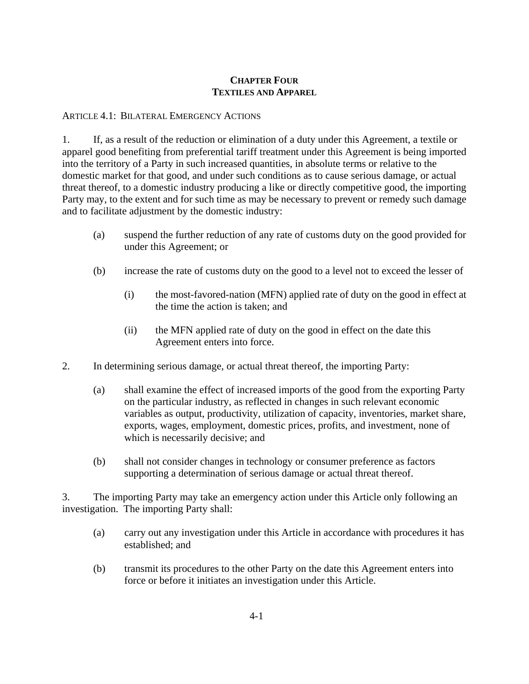## **CHAPTER FOUR TEXTILES AND APPAREL**

#### ARTICLE 4.1: BILATERAL EMERGENCY ACTIONS

1. If, as a result of the reduction or elimination of a duty under this Agreement, a textile or apparel good benefiting from preferential tariff treatment under this Agreement is being imported into the territory of a Party in such increased quantities, in absolute terms or relative to the domestic market for that good, and under such conditions as to cause serious damage, or actual threat thereof, to a domestic industry producing a like or directly competitive good, the importing Party may, to the extent and for such time as may be necessary to prevent or remedy such damage and to facilitate adjustment by the domestic industry:

- (a) suspend the further reduction of any rate of customs duty on the good provided for under this Agreement; or
- (b) increase the rate of customs duty on the good to a level not to exceed the lesser of
	- (i) the most-favored-nation (MFN) applied rate of duty on the good in effect at the time the action is taken; and
	- (ii) the MFN applied rate of duty on the good in effect on the date this Agreement enters into force.
- 2. In determining serious damage, or actual threat thereof, the importing Party:
	- (a) shall examine the effect of increased imports of the good from the exporting Party on the particular industry, as reflected in changes in such relevant economic variables as output, productivity, utilization of capacity, inventories, market share, exports, wages, employment, domestic prices, profits, and investment, none of which is necessarily decisive; and
	- (b) shall not consider changes in technology or consumer preference as factors supporting a determination of serious damage or actual threat thereof.

3. The importing Party may take an emergency action under this Article only following an investigation. The importing Party shall:

- (a) carry out any investigation under this Article in accordance with procedures it has established; and
- (b) transmit its procedures to the other Party on the date this Agreement enters into force or before it initiates an investigation under this Article.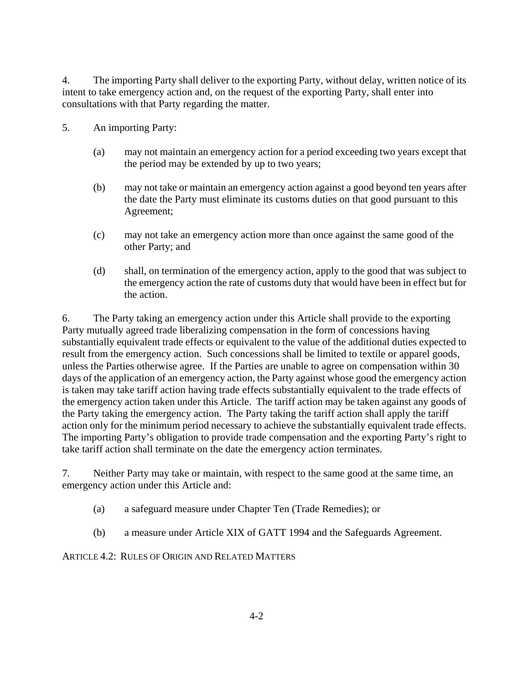4. The importing Party shall deliver to the exporting Party, without delay, written notice of its intent to take emergency action and, on the request of the exporting Party, shall enter into consultations with that Party regarding the matter.

- 5. An importing Party:
	- (a) may not maintain an emergency action for a period exceeding two years except that the period may be extended by up to two years;
	- (b) may not take or maintain an emergency action against a good beyond ten years after the date the Party must eliminate its customs duties on that good pursuant to this Agreement;
	- (c) may not take an emergency action more than once against the same good of the other Party; and
	- (d) shall, on termination of the emergency action, apply to the good that was subject to the emergency action the rate of customs duty that would have been in effect but for the action.

6. The Party taking an emergency action under this Article shall provide to the exporting Party mutually agreed trade liberalizing compensation in the form of concessions having substantially equivalent trade effects or equivalent to the value of the additional duties expected to result from the emergency action. Such concessions shall be limited to textile or apparel goods, unless the Parties otherwise agree. If the Parties are unable to agree on compensation within 30 days of the application of an emergency action, the Party against whose good the emergency action is taken may take tariff action having trade effects substantially equivalent to the trade effects of the emergency action taken under this Article. The tariff action may be taken against any goods of the Party taking the emergency action. The Party taking the tariff action shall apply the tariff action only for the minimum period necessary to achieve the substantially equivalent trade effects. The importing Party's obligation to provide trade compensation and the exporting Party's right to take tariff action shall terminate on the date the emergency action terminates.

7. Neither Party may take or maintain, with respect to the same good at the same time, an emergency action under this Article and:

- (a) a safeguard measure under Chapter Ten (Trade Remedies); or
- (b) a measure under Article XIX of GATT 1994 and the Safeguards Agreement.

ARTICLE 4.2: RULES OF ORIGIN AND RELATED MATTERS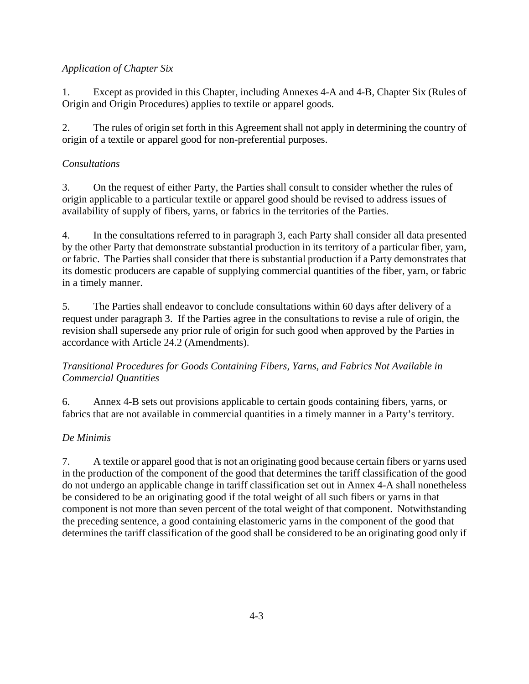# *Application of Chapter Six*

1. Except as provided in this Chapter, including Annexes 4-A and 4-B, Chapter Six (Rules of Origin and Origin Procedures) applies to textile or apparel goods.

2. The rules of origin set forth in this Agreement shall not apply in determining the country of origin of a textile or apparel good for non-preferential purposes.

# *Consultations*

3. On the request of either Party, the Parties shall consult to consider whether the rules of origin applicable to a particular textile or apparel good should be revised to address issues of availability of supply of fibers, yarns, or fabrics in the territories of the Parties.

4. In the consultations referred to in paragraph 3, each Party shall consider all data presented by the other Party that demonstrate substantial production in its territory of a particular fiber, yarn, or fabric. The Parties shall consider that there is substantial production if a Party demonstrates that its domestic producers are capable of supplying commercial quantities of the fiber, yarn, or fabric in a timely manner.

5. The Parties shall endeavor to conclude consultations within 60 days after delivery of a request under paragraph 3. If the Parties agree in the consultations to revise a rule of origin, the revision shall supersede any prior rule of origin for such good when approved by the Parties in accordance with Article 24.2 (Amendments).

# *Transitional Procedures for Goods Containing Fibers, Yarns, and Fabrics Not Available in Commercial Quantities*

6. Annex 4-B sets out provisions applicable to certain goods containing fibers, yarns, or fabrics that are not available in commercial quantities in a timely manner in a Party's territory.

# *De Minimis*

7. A textile or apparel good that is not an originating good because certain fibers or yarns used in the production of the component of the good that determines the tariff classification of the good do not undergo an applicable change in tariff classification set out in Annex 4-A shall nonetheless be considered to be an originating good if the total weight of all such fibers or yarns in that component is not more than seven percent of the total weight of that component. Notwithstanding the preceding sentence, a good containing elastomeric yarns in the component of the good that determines the tariff classification of the good shall be considered to be an originating good only if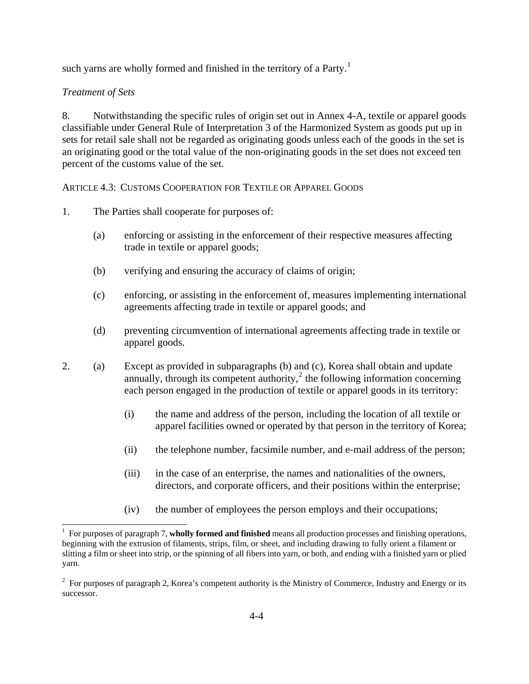such yarns are wholly formed and finished in the territory of a Party.<sup>[1](#page-3-0)</sup>

#### *Treatment of Sets*

8. Notwithstanding the specific rules of origin set out in Annex 4-A, textile or apparel goods classifiable under General Rule of Interpretation 3 of the Harmonized System as goods put up in sets for retail sale shall not be regarded as originating goods unless each of the goods in the set is an originating good or the total value of the non-originating goods in the set does not exceed ten percent of the customs value of the set.

ARTICLE 4.3: CUSTOMS COOPERATION FOR TEXTILE OR APPAREL GOODS

- 1. The Parties shall cooperate for purposes of:
	- (a) enforcing or assisting in the enforcement of their respective measures affecting trade in textile or apparel goods;
	- (b) verifying and ensuring the accuracy of claims of origin;
	- (c) enforcing, or assisting in the enforcement of, measures implementing international agreements affecting trade in textile or apparel goods; and
	- (d) preventing circumvention of international agreements affecting trade in textile or apparel goods.
- 2. (a) Except as provided in subparagraphs (b) and (c), Korea shall obtain and update annually, through its competent authority, $\frac{2}{3}$  $\frac{2}{3}$  $\frac{2}{3}$  the following information concerning each person engaged in the production of textile or apparel goods in its territory:
	- (i) the name and address of the person, including the location of all textile or apparel facilities owned or operated by that person in the territory of Korea;
	- (ii) the telephone number, facsimile number, and e-mail address of the person;
	- (iii) in the case of an enterprise, the names and nationalities of the owners, directors, and corporate officers, and their positions within the enterprise;
	- (iv) the number of employees the person employs and their occupations;

<span id="page-3-0"></span> 1 For purposes of paragraph 7, **wholly formed and finished** means all production processes and finishing operations, beginning with the extrusion of filaments, strips, film, or sheet, and including drawing to fully orient a filament or slitting a film or sheet into strip, or the spinning of all fibers into yarn, or both, and ending with a finished yarn or plied yarn.

<span id="page-3-1"></span> $2^2$  For purposes of paragraph 2, Korea's competent authority is the Ministry of Commerce, Industry and Energy or its successor.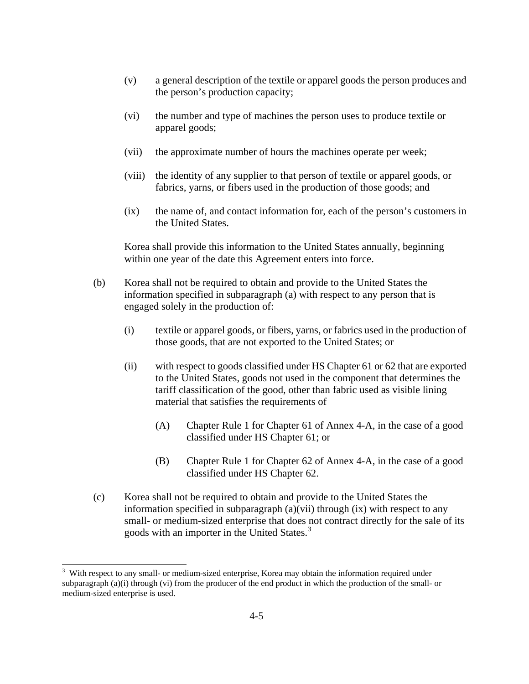- (v) a general description of the textile or apparel goods the person produces and the person's production capacity;
- (vi) the number and type of machines the person uses to produce textile or apparel goods;
- (vii) the approximate number of hours the machines operate per week;
- (viii) the identity of any supplier to that person of textile or apparel goods, or fabrics, yarns, or fibers used in the production of those goods; and
- (ix) the name of, and contact information for, each of the person's customers in the United States.

Korea shall provide this information to the United States annually, beginning within one year of the date this Agreement enters into force.

- (b) Korea shall not be required to obtain and provide to the United States the information specified in subparagraph (a) with respect to any person that is engaged solely in the production of:
	- (i) textile or apparel goods, or fibers, yarns, or fabrics used in the production of those goods, that are not exported to the United States; or
	- (ii) with respect to goods classified under HS Chapter 61 or 62 that are exported to the United States, goods not used in the component that determines the tariff classification of the good, other than fabric used as visible lining material that satisfies the requirements of
		- (A) Chapter Rule 1 for Chapter 61 of Annex 4-A, in the case of a good classified under HS Chapter 61; or
		- (B) Chapter Rule 1 for Chapter 62 of Annex 4-A, in the case of a good classified under HS Chapter 62.
- (c) Korea shall not be required to obtain and provide to the United States the information specified in subparagraph  $(a)(vi)$  through  $(ix)$  with respect to any small- or medium-sized enterprise that does not contract directly for the sale of its goods with an importer in the United States.<sup>[3](#page-4-0)</sup>

 $\overline{a}$ 

<span id="page-4-0"></span><sup>3</sup> With respect to any small- or medium-sized enterprise, Korea may obtain the information required under subparagraph (a)(i) through (vi) from the producer of the end product in which the production of the small- or medium-sized enterprise is used.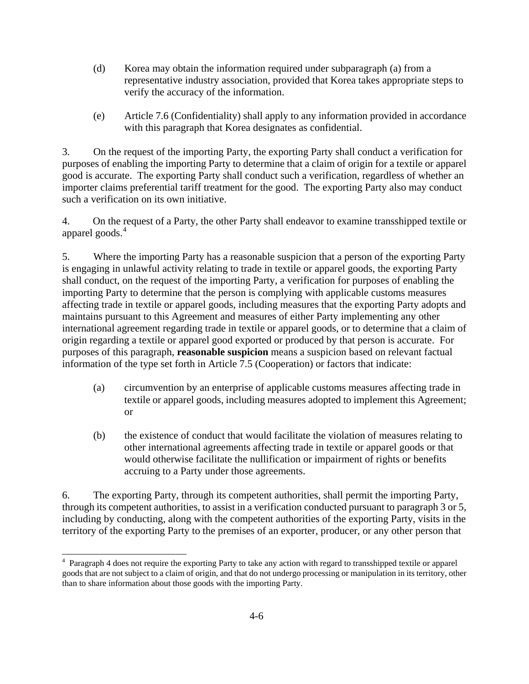- (d) Korea may obtain the information required under subparagraph (a) from a representative industry association, provided that Korea takes appropriate steps to verify the accuracy of the information.
- (e) Article 7.6 (Confidentiality) shall apply to any information provided in accordance with this paragraph that Korea designates as confidential.

3. On the request of the importing Party, the exporting Party shall conduct a verification for purposes of enabling the importing Party to determine that a claim of origin for a textile or apparel good is accurate. The exporting Party shall conduct such a verification, regardless of whether an importer claims preferential tariff treatment for the good. The exporting Party also may conduct such a verification on its own initiative.

4. On the request of a Party, the other Party shall endeavor to examine transshipped textile or apparel goods.<sup>[4](#page-5-0)</sup>

5. Where the importing Party has a reasonable suspicion that a person of the exporting Party is engaging in unlawful activity relating to trade in textile or apparel goods, the exporting Party shall conduct, on the request of the importing Party, a verification for purposes of enabling the importing Party to determine that the person is complying with applicable customs measures affecting trade in textile or apparel goods, including measures that the exporting Party adopts and maintains pursuant to this Agreement and measures of either Party implementing any other international agreement regarding trade in textile or apparel goods, or to determine that a claim of origin regarding a textile or apparel good exported or produced by that person is accurate. For purposes of this paragraph, **reasonable suspicion** means a suspicion based on relevant factual information of the type set forth in Article 7.5 (Cooperation) or factors that indicate:

- (a) circumvention by an enterprise of applicable customs measures affecting trade in textile or apparel goods, including measures adopted to implement this Agreement; or
- (b) the existence of conduct that would facilitate the violation of measures relating to other international agreements affecting trade in textile or apparel goods or that would otherwise facilitate the nullification or impairment of rights or benefits accruing to a Party under those agreements.

6. The exporting Party, through its competent authorities, shall permit the importing Party, through its competent authorities, to assist in a verification conducted pursuant to paragraph 3 or 5, including by conducting, along with the competent authorities of the exporting Party, visits in the territory of the exporting Party to the premises of an exporter, producer, or any other person that

<span id="page-5-0"></span>l <sup>4</sup> Paragraph 4 does not require the exporting Party to take any action with regard to transshipped textile or apparel goods that are not subject to a claim of origin, and that do not undergo processing or manipulation in its territory, other than to share information about those goods with the importing Party.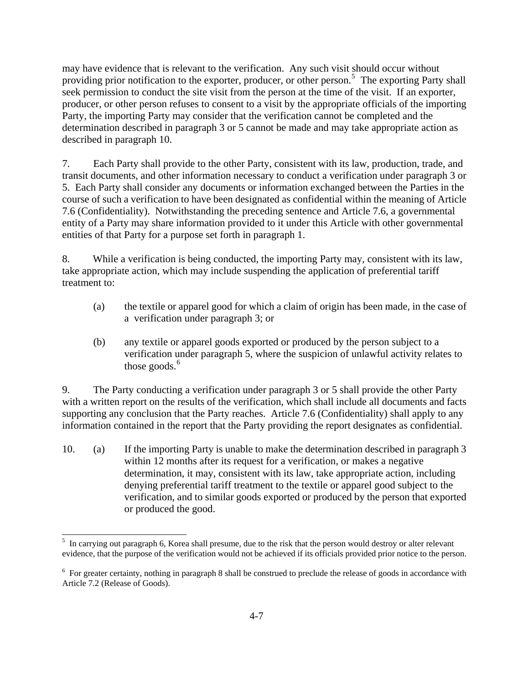may have evidence that is relevant to the verification. Any such visit should occur without providing prior notification to the exporter, producer, or other person.<sup>[5](#page-6-0)</sup> The exporting Party shall seek permission to conduct the site visit from the person at the time of the visit. If an exporter, producer, or other person refuses to consent to a visit by the appropriate officials of the importing Party, the importing Party may consider that the verification cannot be completed and the determination described in paragraph 3 or 5 cannot be made and may take appropriate action as described in paragraph 10.

7. Each Party shall provide to the other Party, consistent with its law, production, trade, and transit documents, and other information necessary to conduct a verification under paragraph 3 or 5. Each Party shall consider any documents or information exchanged between the Parties in the course of such a verification to have been designated as confidential within the meaning of Article 7.6 (Confidentiality). Notwithstanding the preceding sentence and Article 7.6, a governmental entity of a Party may share information provided to it under this Article with other governmental entities of that Party for a purpose set forth in paragraph 1.

8. While a verification is being conducted, the importing Party may, consistent with its law, take appropriate action, which may include suspending the application of preferential tariff treatment to:

- (a) the textile or apparel good for which a claim of origin has been made, in the case of a verification under paragraph 3; or
- (b) any textile or apparel goods exported or produced by the person subject to a verification under paragraph 5, where the suspicion of unlawful activity relates to those goods. $<sup>6</sup>$  $<sup>6</sup>$  $<sup>6</sup>$ </sup>

9. The Party conducting a verification under paragraph 3 or 5 shall provide the other Party with a written report on the results of the verification, which shall include all documents and facts supporting any conclusion that the Party reaches. Article 7.6 (Confidentiality) shall apply to any information contained in the report that the Party providing the report designates as confidential.

10. (a) If the importing Party is unable to make the determination described in paragraph 3 within 12 months after its request for a verification, or makes a negative determination, it may, consistent with its law, take appropriate action, including denying preferential tariff treatment to the textile or apparel good subject to the verification, and to similar goods exported or produced by the person that exported or produced the good.

 $\overline{a}$ 

<span id="page-6-0"></span><sup>&</sup>lt;sup>5</sup> In carrying out paragraph 6, Korea shall presume, due to the risk that the person would destroy or alter relevant evidence, that the purpose of the verification would not be achieved if its officials provided prior notice to the person.

<span id="page-6-1"></span><sup>&</sup>lt;sup>6</sup> For greater certainty, nothing in paragraph 8 shall be construed to preclude the release of goods in accordance with Article 7.2 (Release of Goods).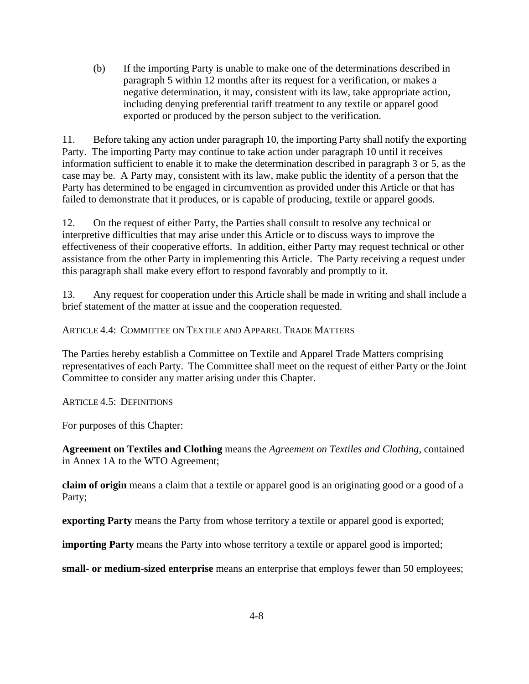(b) If the importing Party is unable to make one of the determinations described in paragraph 5 within 12 months after its request for a verification, or makes a negative determination, it may, consistent with its law, take appropriate action, including denying preferential tariff treatment to any textile or apparel good exported or produced by the person subject to the verification.

11. Before taking any action under paragraph 10, the importing Party shall notify the exporting Party. The importing Party may continue to take action under paragraph 10 until it receives information sufficient to enable it to make the determination described in paragraph 3 or 5, as the case may be. A Party may, consistent with its law, make public the identity of a person that the Party has determined to be engaged in circumvention as provided under this Article or that has failed to demonstrate that it produces, or is capable of producing, textile or apparel goods.

12. On the request of either Party, the Parties shall consult to resolve any technical or interpretive difficulties that may arise under this Article or to discuss ways to improve the effectiveness of their cooperative efforts. In addition, either Party may request technical or other assistance from the other Party in implementing this Article. The Party receiving a request under this paragraph shall make every effort to respond favorably and promptly to it.

13. Any request for cooperation under this Article shall be made in writing and shall include a brief statement of the matter at issue and the cooperation requested.

## ARTICLE 4.4: COMMITTEE ON TEXTILE AND APPAREL TRADE MATTERS

The Parties hereby establish a Committee on Textile and Apparel Trade Matters comprising representatives of each Party. The Committee shall meet on the request of either Party or the Joint Committee to consider any matter arising under this Chapter.

ARTICLE 4.5: DEFINITIONS

For purposes of this Chapter:

**Agreement on Textiles and Clothing** means the *Agreement on Textiles and Clothing,* contained in Annex 1A to the WTO Agreement;

**claim of origin** means a claim that a textile or apparel good is an originating good or a good of a Party;

**exporting Party** means the Party from whose territory a textile or apparel good is exported;

**importing Party** means the Party into whose territory a textile or apparel good is imported;

**small- or medium-sized enterprise** means an enterprise that employs fewer than 50 employees;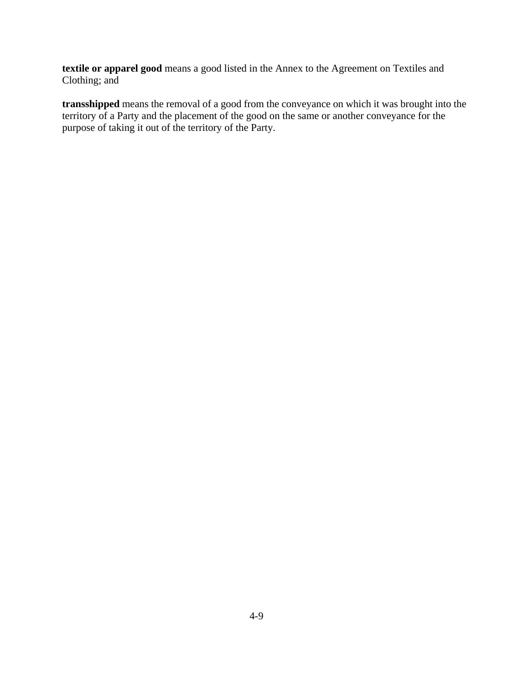**textile or apparel good** means a good listed in the Annex to the Agreement on Textiles and Clothing; and

**transshipped** means the removal of a good from the conveyance on which it was brought into the territory of a Party and the placement of the good on the same or another conveyance for the purpose of taking it out of the territory of the Party.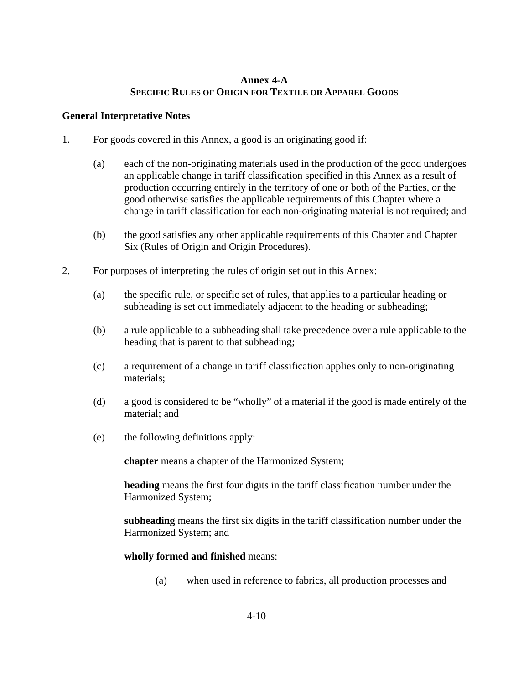## **Annex 4-A SPECIFIC RULES OF ORIGIN FOR TEXTILE OR APPAREL GOODS**

## **General Interpretative Notes**

- 1. For goods covered in this Annex, a good is an originating good if:
	- (a) each of the non-originating materials used in the production of the good undergoes an applicable change in tariff classification specified in this Annex as a result of production occurring entirely in the territory of one or both of the Parties, or the good otherwise satisfies the applicable requirements of this Chapter where a change in tariff classification for each non-originating material is not required; and
	- (b) the good satisfies any other applicable requirements of this Chapter and Chapter Six (Rules of Origin and Origin Procedures).
- 2. For purposes of interpreting the rules of origin set out in this Annex:
	- (a) the specific rule, or specific set of rules, that applies to a particular heading or subheading is set out immediately adjacent to the heading or subheading;
	- (b) a rule applicable to a subheading shall take precedence over a rule applicable to the heading that is parent to that subheading;
	- (c) a requirement of a change in tariff classification applies only to non-originating materials;
	- (d) a good is considered to be "wholly" of a material if the good is made entirely of the material; and
	- (e) the following definitions apply:

**chapter** means a chapter of the Harmonized System;

**heading** means the first four digits in the tariff classification number under the Harmonized System;

**subheading** means the first six digits in the tariff classification number under the Harmonized System; and

## **wholly formed and finished** means:

(a) when used in reference to fabrics, all production processes and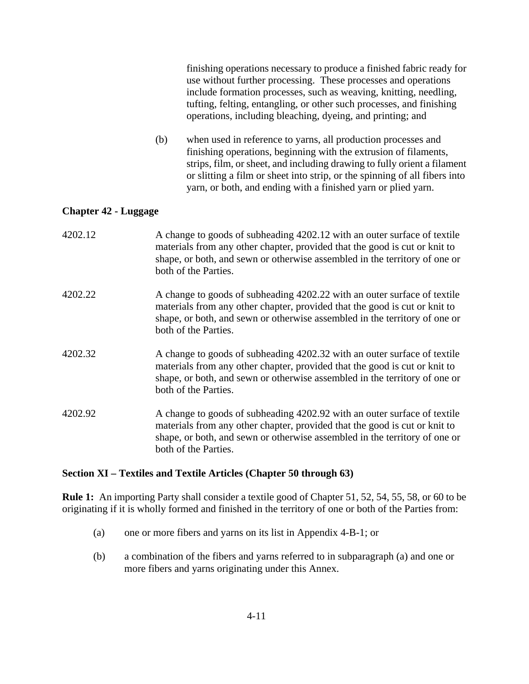finishing operations necessary to produce a finished fabric ready for use without further processing. These processes and operations include formation processes, such as weaving, knitting, needling, tufting, felting, entangling, or other such processes, and finishing operations, including bleaching, dyeing, and printing; and

(b) when used in reference to yarns, all production processes and finishing operations, beginning with the extrusion of filaments, strips, film, or sheet, and including drawing to fully orient a filament or slitting a film or sheet into strip, or the spinning of all fibers into yarn, or both, and ending with a finished yarn or plied yarn.

## **Chapter 42 - Luggage**

| 4202.12 | A change to goods of subheading 4202.12 with an outer surface of textile<br>materials from any other chapter, provided that the good is cut or knit to<br>shape, or both, and sewn or otherwise assembled in the territory of one or<br>both of the Parties. |
|---------|--------------------------------------------------------------------------------------------------------------------------------------------------------------------------------------------------------------------------------------------------------------|
| 4202.22 | A change to goods of subheading 4202.22 with an outer surface of textile<br>materials from any other chapter, provided that the good is cut or knit to<br>shape, or both, and sewn or otherwise assembled in the territory of one or<br>both of the Parties. |
| 4202.32 | A change to goods of subheading 4202.32 with an outer surface of textile<br>materials from any other chapter, provided that the good is cut or knit to<br>shape, or both, and sewn or otherwise assembled in the territory of one or<br>both of the Parties. |
| 4202.92 | A change to goods of subheading 4202.92 with an outer surface of textile<br>materials from any other chapter, provided that the good is cut or knit to<br>shape, or both, and sewn or otherwise assembled in the territory of one or<br>both of the Parties. |

## **Section XI – Textiles and Textile Articles (Chapter 50 through 63)**

**Rule 1:** An importing Party shall consider a textile good of Chapter 51, 52, 54, 55, 58, or 60 to be originating if it is wholly formed and finished in the territory of one or both of the Parties from:

- (a) one or more fibers and yarns on its list in Appendix 4-B-1; or
- (b) a combination of the fibers and yarns referred to in subparagraph (a) and one or more fibers and yarns originating under this Annex.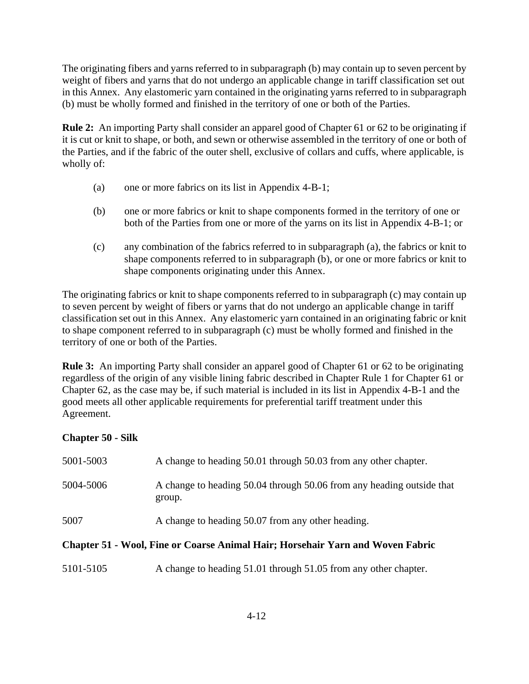The originating fibers and yarns referred to in subparagraph (b) may contain up to seven percent by weight of fibers and yarns that do not undergo an applicable change in tariff classification set out in this Annex. Any elastomeric yarn contained in the originating yarns referred to in subparagraph (b) must be wholly formed and finished in the territory of one or both of the Parties.

**Rule 2:** An importing Party shall consider an apparel good of Chapter 61 or 62 to be originating if it is cut or knit to shape, or both, and sewn or otherwise assembled in the territory of one or both of the Parties, and if the fabric of the outer shell, exclusive of collars and cuffs, where applicable, is wholly of:

- (a) one or more fabrics on its list in Appendix 4-B-1;
- (b) one or more fabrics or knit to shape components formed in the territory of one or both of the Parties from one or more of the yarns on its list in Appendix 4-B-1; or
- (c) any combination of the fabrics referred to in subparagraph (a), the fabrics or knit to shape components referred to in subparagraph (b), or one or more fabrics or knit to shape components originating under this Annex.

The originating fabrics or knit to shape components referred to in subparagraph (c) may contain up to seven percent by weight of fibers or yarns that do not undergo an applicable change in tariff classification set out in this Annex. Any elastomeric yarn contained in an originating fabric or knit to shape component referred to in subparagraph (c) must be wholly formed and finished in the territory of one or both of the Parties.

**Rule 3:** An importing Party shall consider an apparel good of Chapter 61 or 62 to be originating regardless of the origin of any visible lining fabric described in Chapter Rule 1 for Chapter 61 or Chapter 62, as the case may be, if such material is included in its list in Appendix 4-B-1 and the good meets all other applicable requirements for preferential tariff treatment under this Agreement.

# **Chapter 50 - Silk**

| <b>Chapter 51 - Wool, Fine or Coarse Animal Hair; Horsehair Yarn and Woven Fabric</b> |                                                                                 |  |
|---------------------------------------------------------------------------------------|---------------------------------------------------------------------------------|--|
| 5007                                                                                  | A change to heading 50.07 from any other heading.                               |  |
| 5004-5006                                                                             | A change to heading 50.04 through 50.06 from any heading outside that<br>group. |  |
| 5001-5003                                                                             | A change to heading 50.01 through 50.03 from any other chapter.                 |  |

5101-5105 A change to heading 51.01 through 51.05 from any other chapter.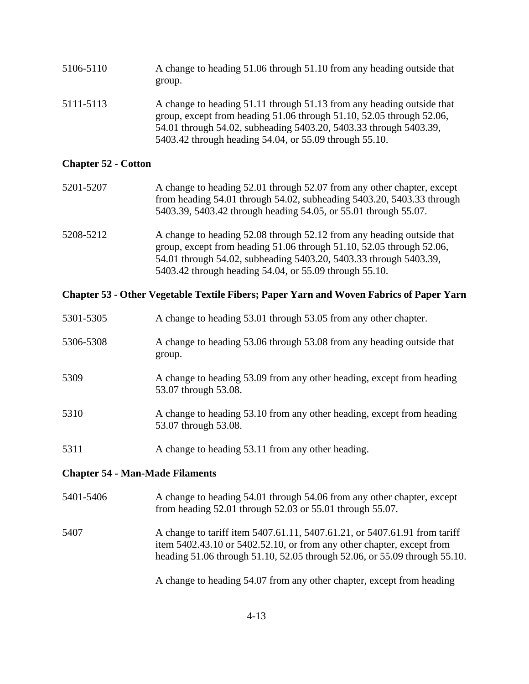| 5106-5110 | A change to heading 51.06 through 51.10 from any heading outside that<br>group.                                                                                                                                                                                              |
|-----------|------------------------------------------------------------------------------------------------------------------------------------------------------------------------------------------------------------------------------------------------------------------------------|
| 5111-5113 | A change to heading 51.11 through 51.13 from any heading outside that<br>group, except from heading 51.06 through 51.10, 52.05 through 52.06,<br>54.01 through 54.02, subheading 5403.20, 5403.33 through 5403.39,<br>5403.42 through heading 54.04, or 55.09 through 55.10. |

# **Chapter 52 - Cotton**

| 5201-5207 | A change to heading 52.01 through 52.07 from any other chapter, except<br>from heading $54.01$ through $54.02$ , subheading $5403.20$ , $5403.33$ through<br>5403.39, 5403.42 through heading 54.05, or 55.01 through 55.07.                                                 |
|-----------|------------------------------------------------------------------------------------------------------------------------------------------------------------------------------------------------------------------------------------------------------------------------------|
| 5208-5212 | A change to heading 52.08 through 52.12 from any heading outside that<br>group, except from heading 51.06 through 51.10, 52.05 through 52.06,<br>54.01 through 54.02, subheading 5403.20, 5403.33 through 5403.39,<br>5403.42 through heading 54.04, or 55.09 through 55.10. |

## **Chapter 53 - Other Vegetable Textile Fibers; Paper Yarn and Woven Fabrics of Paper Yarn**

| 5301-5305 | A change to heading 53.01 through 53.05 from any other chapter.                               |
|-----------|-----------------------------------------------------------------------------------------------|
| 5306-5308 | A change to heading 53.06 through 53.08 from any heading outside that<br>group.               |
| 5309      | A change to heading 53.09 from any other heading, except from heading<br>53.07 through 53.08. |
| 5310      | A change to heading 53.10 from any other heading, except from heading<br>53.07 through 53.08. |
| 5311      | A change to heading 53.11 from any other heading.                                             |

# **Chapter 54 - Man-Made Filaments**

| 5401-5406 | A change to heading 54.01 through 54.06 from any other chapter, except<br>from heading $52.01$ through $52.03$ or $55.01$ through $55.07$ .                                                                                     |
|-----------|---------------------------------------------------------------------------------------------------------------------------------------------------------------------------------------------------------------------------------|
| 5407      | A change to tariff item 5407.61.11, 5407.61.21, or 5407.61.91 from tariff<br>item 5402.43.10 or 5402.52.10, or from any other chapter, except from<br>heading 51.06 through 51.10, 52.05 through 52.06, or 55.09 through 55.10. |
|           | A change to heading 54.07 from any other chapter, except from heading                                                                                                                                                           |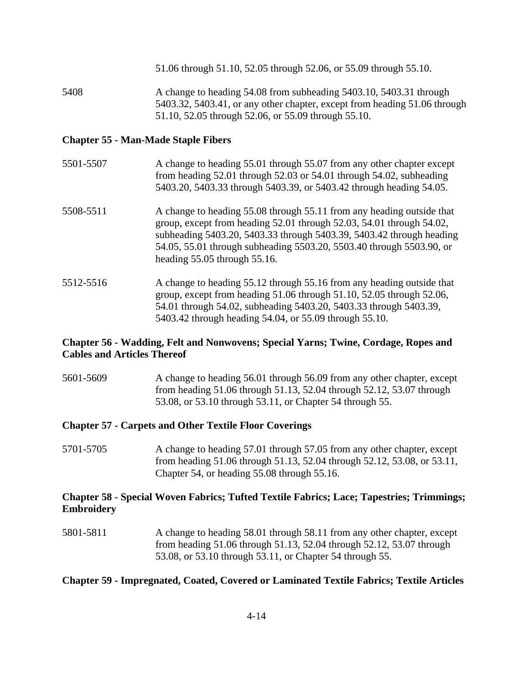51.06 through 51.10, 52.05 through 52.06, or 55.09 through 55.10.

5408 A change to heading 54.08 from subheading 5403.10, 5403.31 through 5403.32, 5403.41, or any other chapter, except from heading 51.06 through 51.10, 52.05 through 52.06, or 55.09 through 55.10.

## **Chapter 55 - Man-Made Staple Fibers**

- 5501-5507 A change to heading 55.01 through 55.07 from any other chapter except from heading 52.01 through 52.03 or 54.01 through 54.02, subheading 5403.20, 5403.33 through 5403.39, or 5403.42 through heading 54.05.
- 5508-5511 A change to heading 55.08 through 55.11 from any heading outside that group, except from heading 52.01 through 52.03, 54.01 through 54.02, subheading 5403.20, 5403.33 through 5403.39, 5403.42 through heading 54.05, 55.01 through subheading 5503.20, 5503.40 through 5503.90, or heading 55.05 through 55.16.
- 5512-5516 A change to heading 55.12 through 55.16 from any heading outside that group, except from heading 51.06 through 51.10, 52.05 through 52.06, 54.01 through 54.02, subheading 5403.20, 5403.33 through 5403.39, 5403.42 through heading 54.04, or 55.09 through 55.10.

## **Chapter 56 - Wadding, Felt and Nonwovens; Special Yarns; Twine, Cordage, Ropes and Cables and Articles Thereof**

5601-5609 A change to heading 56.01 through 56.09 from any other chapter, except from heading 51.06 through 51.13, 52.04 through 52.12, 53.07 through 53.08, or 53.10 through 53.11, or Chapter 54 through 55.

## **Chapter 57 - Carpets and Other Textile Floor Coverings**

5701-5705 A change to heading 57.01 through 57.05 from any other chapter, except from heading 51.06 through 51.13, 52.04 through 52.12, 53.08, or 53.11, Chapter 54, or heading 55.08 through 55.16.

## **Chapter 58 - Special Woven Fabrics; Tufted Textile Fabrics; Lace; Tapestries; Trimmings; Embroidery**

5801-5811 A change to heading 58.01 through 58.11 from any other chapter, except from heading 51.06 through 51.13, 52.04 through 52.12, 53.07 through 53.08, or 53.10 through 53.11, or Chapter 54 through 55.

## **Chapter 59 - Impregnated, Coated, Covered or Laminated Textile Fabrics; Textile Articles**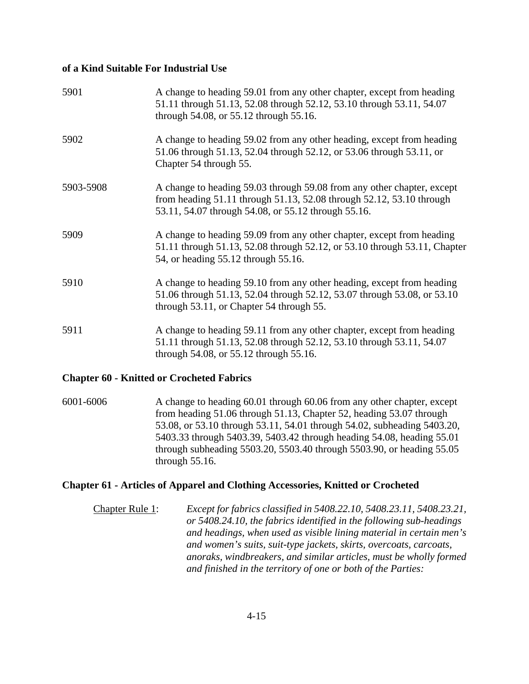#### **of a Kind Suitable For Industrial Use**

| 5901      | A change to heading 59.01 from any other chapter, except from heading<br>51.11 through 51.13, 52.08 through 52.12, 53.10 through 53.11, 54.07<br>through 54.08, or 55.12 through 55.16.               |
|-----------|-------------------------------------------------------------------------------------------------------------------------------------------------------------------------------------------------------|
| 5902      | A change to heading 59.02 from any other heading, except from heading<br>51.06 through 51.13, 52.04 through 52.12, or 53.06 through 53.11, or<br>Chapter 54 through 55.                               |
| 5903-5908 | A change to heading 59.03 through 59.08 from any other chapter, except<br>from heading 51.11 through 51.13, 52.08 through 52.12, 53.10 through<br>53.11, 54.07 through 54.08, or 55.12 through 55.16. |
| 5909      | A change to heading 59.09 from any other chapter, except from heading<br>51.11 through 51.13, 52.08 through 52.12, or 53.10 through 53.11, Chapter<br>54, or heading 55.12 through 55.16.             |
| 5910      | A change to heading 59.10 from any other heading, except from heading<br>51.06 through 51.13, 52.04 through 52.12, 53.07 through 53.08, or 53.10<br>through 53.11, or Chapter 54 through 55.          |
| 5911      | A change to heading 59.11 from any other chapter, except from heading<br>51.11 through 51.13, 52.08 through 52.12, 53.10 through 53.11, 54.07<br>through 54.08, or 55.12 through 55.16.               |

## **Chapter 60 - Knitted or Crocheted Fabrics**

6001-6006 A change to heading 60.01 through 60.06 from any other chapter, except from heading 51.06 through 51.13, Chapter 52, heading 53.07 through 53.08, or 53.10 through 53.11, 54.01 through 54.02, subheading 5403.20, 5403.33 through 5403.39, 5403.42 through heading 54.08, heading 55.01 through subheading 5503.20, 5503.40 through 5503.90, or heading 55.05 through 55.16.

## **Chapter 61 - Articles of Apparel and Clothing Accessories, Knitted or Crocheted**

Chapter Rule 1: *Except for fabrics classified in 5408.22.10, 5408.23.11, 5408.23.21, or 5408.24.10, the fabrics identified in the following sub-headings and headings, when used as visible lining material in certain men's and women's suits, suit-type jackets, skirts, overcoats, carcoats, anoraks, windbreakers, and similar articles, must be wholly formed and finished in the territory of one or both of the Parties:*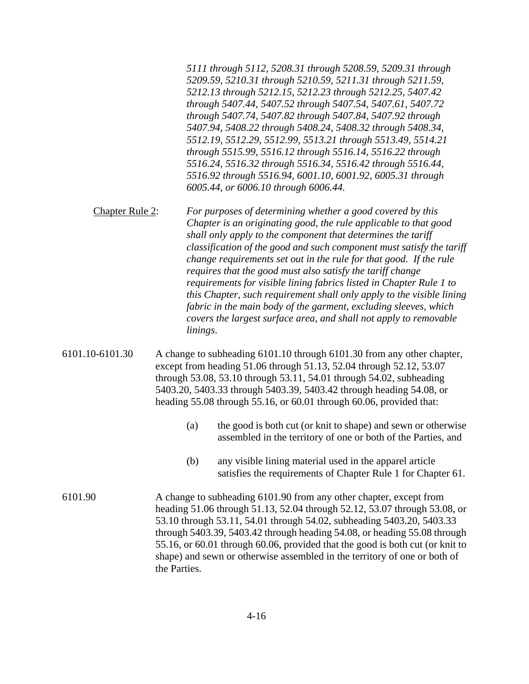| 5111 through 5112, 5208.31 through 5208.59, 5209.31 through |
|-------------------------------------------------------------|
| 5209.59, 5210.31 through 5210.59, 5211.31 through 5211.59,  |
| 5212.13 through 5212.15, 5212.23 through 5212.25, 5407.42   |
| through 5407.44, 5407.52 through 5407.54, 5407.61, 5407.72  |
| through 5407.74, 5407.82 through 5407.84, 5407.92 through   |
| 5407.94, 5408.22 through 5408.24, 5408.32 through 5408.34,  |
| 5512.19, 5512.29, 5512.99, 5513.21 through 5513.49, 5514.21 |
| through 5515.99, 5516.12 through 5516.14, 5516.22 through   |
| 5516.24, 5516.32 through 5516.34, 5516.42 through 5516.44,  |
| 5516.92 through 5516.94, 6001.10, 6001.92, 6005.31 through  |
| 6005.44, or 6006.10 through 6006.44.                        |
|                                                             |

Chapter Rule 2: *For purposes of determining whether a good covered by this Chapter is an originating good, the rule applicable to that good shall only apply to the component that determines the tariff classification of the good and such component must satisfy the tariff change requirements set out in the rule for that good. If the rule requires that the good must also satisfy the tariff change requirements for visible lining fabrics listed in Chapter Rule 1 to this Chapter, such requirement shall only apply to the visible lining fabric in the main body of the garment, excluding sleeves, which covers the largest surface area, and shall not apply to removable linings*.

6101.10-6101.30 A change to subheading 6101.10 through 6101.30 from any other chapter, except from heading 51.06 through 51.13, 52.04 through 52.12, 53.07 through 53.08, 53.10 through 53.11, 54.01 through 54.02, subheading 5403.20, 5403.33 through 5403.39, 5403.42 through heading 54.08, or heading 55.08 through 55.16, or 60.01 through 60.06, provided that:

- (a) the good is both cut (or knit to shape) and sewn or otherwise assembled in the territory of one or both of the Parties, and
- (b) any visible lining material used in the apparel article satisfies the requirements of Chapter Rule 1 for Chapter 61.
- 6101.90 A change to subheading 6101.90 from any other chapter, except from heading 51.06 through 51.13, 52.04 through 52.12, 53.07 through 53.08, or 53.10 through 53.11, 54.01 through 54.02, subheading 5403.20, 5403.33 through 5403.39, 5403.42 through heading 54.08, or heading 55.08 through 55.16, or 60.01 through 60.06, provided that the good is both cut (or knit to shape) and sewn or otherwise assembled in the territory of one or both of the Parties.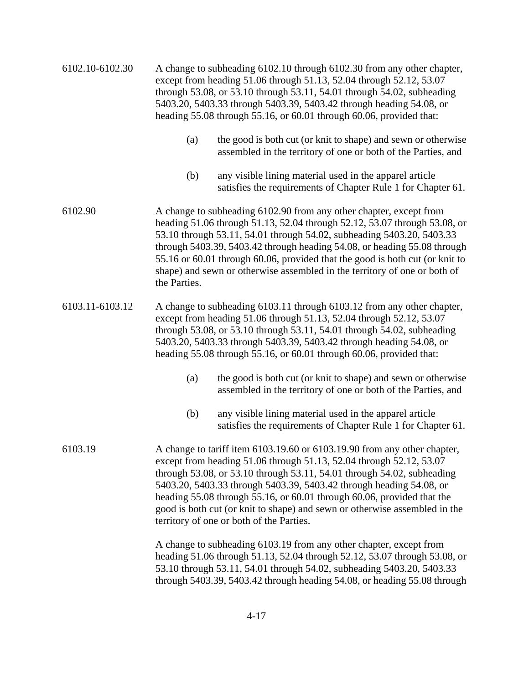| 6102.10-6102.30 | A change to subheading 6102.10 through 6102.30 from any other chapter,<br>except from heading 51.06 through 51.13, 52.04 through 52.12, 53.07<br>through 53.08, or 53.10 through 53.11, 54.01 through 54.02, subheading<br>5403.20, 5403.33 through 5403.39, 5403.42 through heading 54.08, or<br>heading 55.08 through 55.16, or 60.01 through 60.06, provided that:                                                                                                                                |  |
|-----------------|------------------------------------------------------------------------------------------------------------------------------------------------------------------------------------------------------------------------------------------------------------------------------------------------------------------------------------------------------------------------------------------------------------------------------------------------------------------------------------------------------|--|
|                 | (a)<br>the good is both cut (or knit to shape) and sewn or otherwise<br>assembled in the territory of one or both of the Parties, and                                                                                                                                                                                                                                                                                                                                                                |  |
|                 | any visible lining material used in the apparel article<br>(b)<br>satisfies the requirements of Chapter Rule 1 for Chapter 61.                                                                                                                                                                                                                                                                                                                                                                       |  |
| 6102.90         | A change to subheading 6102.90 from any other chapter, except from<br>heading 51.06 through 51.13, 52.04 through 52.12, 53.07 through 53.08, or<br>53.10 through 53.11, 54.01 through 54.02, subheading 5403.20, 5403.33<br>through 5403.39, 5403.42 through heading 54.08, or heading 55.08 through<br>55.16 or 60.01 through 60.06, provided that the good is both cut (or knit to<br>shape) and sewn or otherwise assembled in the territory of one or both of<br>the Parties.                    |  |
| 6103.11-6103.12 | A change to subheading 6103.11 through 6103.12 from any other chapter,<br>except from heading 51.06 through 51.13, 52.04 through 52.12, 53.07<br>through 53.08, or 53.10 through 53.11, 54.01 through 54.02, subheading<br>5403.20, 5403.33 through 5403.39, 5403.42 through heading 54.08, or<br>heading 55.08 through 55.16, or 60.01 through 60.06, provided that:                                                                                                                                |  |
|                 | the good is both cut (or knit to shape) and sewn or otherwise<br>(a)<br>assembled in the territory of one or both of the Parties, and                                                                                                                                                                                                                                                                                                                                                                |  |
|                 | (b)<br>any visible lining material used in the apparel article<br>satisfies the requirements of Chapter Rule 1 for Chapter 61.                                                                                                                                                                                                                                                                                                                                                                       |  |
| 6103.19         | A change to tariff item 6103.19.60 or 6103.19.90 from any other chapter,<br>except from heading 51.06 through 51.13, 52.04 through 52.12, 53.07<br>through 53.08, or 53.10 through 53.11, 54.01 through 54.02, subheading<br>5403.20, 5403.33 through 5403.39, 5403.42 through heading 54.08, or<br>heading 55.08 through 55.16, or 60.01 through 60.06, provided that the<br>good is both cut (or knit to shape) and sewn or otherwise assembled in the<br>territory of one or both of the Parties. |  |
|                 | A change to subheading 6103.19 from any other chapter, except from<br>heading 51.06 through 51.13, 52.04 through 52.12, 53.07 through 53.08, or<br>53.10 through 53.11, 54.01 through 54.02, subheading 5403.20, 5403.33<br>through 5403.39, 5403.42 through heading 54.08, or heading 55.08 through                                                                                                                                                                                                 |  |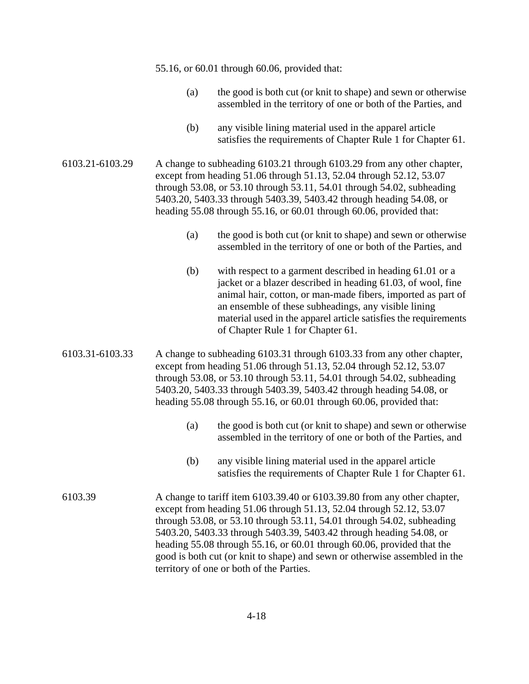|                 |     | 55.16, or 60.01 through 60.06, provided that:                                                                                                                                                                                                                                                                                                                                                                                                                                                        |
|-----------------|-----|------------------------------------------------------------------------------------------------------------------------------------------------------------------------------------------------------------------------------------------------------------------------------------------------------------------------------------------------------------------------------------------------------------------------------------------------------------------------------------------------------|
|                 | (a) | the good is both cut (or knit to shape) and sewn or otherwise<br>assembled in the territory of one or both of the Parties, and                                                                                                                                                                                                                                                                                                                                                                       |
|                 | (b) | any visible lining material used in the apparel article<br>satisfies the requirements of Chapter Rule 1 for Chapter 61.                                                                                                                                                                                                                                                                                                                                                                              |
| 6103.21-6103.29 |     | A change to subheading 6103.21 through 6103.29 from any other chapter,<br>except from heading 51.06 through 51.13, 52.04 through 52.12, 53.07<br>through 53.08, or 53.10 through 53.11, 54.01 through 54.02, subheading<br>5403.20, 5403.33 through 5403.39, 5403.42 through heading 54.08, or<br>heading 55.08 through 55.16, or 60.01 through 60.06, provided that:                                                                                                                                |
|                 | (a) | the good is both cut (or knit to shape) and sewn or otherwise<br>assembled in the territory of one or both of the Parties, and                                                                                                                                                                                                                                                                                                                                                                       |
|                 | (b) | with respect to a garment described in heading 61.01 or a<br>jacket or a blazer described in heading 61.03, of wool, fine<br>animal hair, cotton, or man-made fibers, imported as part of<br>an ensemble of these subheadings, any visible lining<br>material used in the apparel article satisfies the requirements<br>of Chapter Rule 1 for Chapter 61.                                                                                                                                            |
| 6103.31-6103.33 |     | A change to subheading 6103.31 through 6103.33 from any other chapter,<br>except from heading 51.06 through 51.13, 52.04 through 52.12, 53.07<br>through 53.08, or 53.10 through 53.11, 54.01 through 54.02, subheading<br>5403.20, 5403.33 through 5403.39, 5403.42 through heading 54.08, or<br>heading 55.08 through 55.16, or 60.01 through 60.06, provided that:                                                                                                                                |
|                 | (a) | the good is both cut (or knit to shape) and sewn or otherwise<br>assembled in the territory of one or both of the Parties, and                                                                                                                                                                                                                                                                                                                                                                       |
|                 | (b) | any visible lining material used in the apparel article<br>satisfies the requirements of Chapter Rule 1 for Chapter 61.                                                                                                                                                                                                                                                                                                                                                                              |
| 6103.39         |     | A change to tariff item 6103.39.40 or 6103.39.80 from any other chapter,<br>except from heading 51.06 through 51.13, 52.04 through 52.12, 53.07<br>through 53.08, or 53.10 through 53.11, 54.01 through 54.02, subheading<br>5403.20, 5403.33 through 5403.39, 5403.42 through heading 54.08, or<br>heading 55.08 through 55.16, or 60.01 through 60.06, provided that the<br>good is both cut (or knit to shape) and sewn or otherwise assembled in the<br>territory of one or both of the Parties. |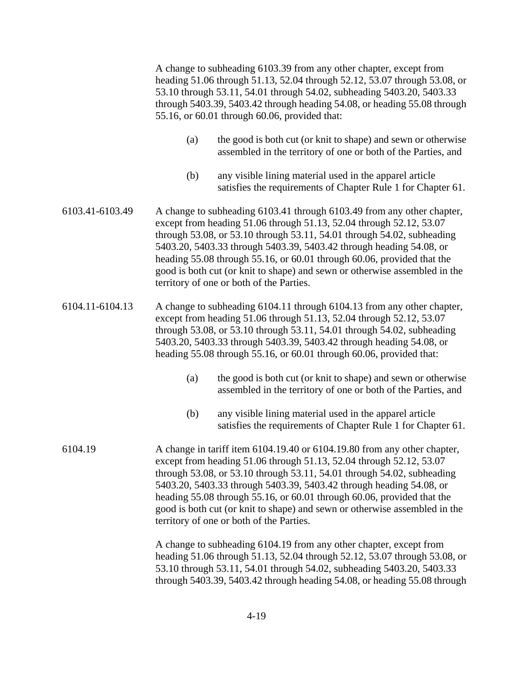A change to subheading 6103.39 from any other chapter, except from heading 51.06 through 51.13, 52.04 through 52.12, 53.07 through 53.08, or 53.10 through 53.11, 54.01 through 54.02, subheading 5403.20, 5403.33 through 5403.39, 5403.42 through heading 54.08, or heading 55.08 through 55.16, or 60.01 through 60.06, provided that:

- (a) the good is both cut (or knit to shape) and sewn or otherwise assembled in the territory of one or both of the Parties, and
- (b) any visible lining material used in the apparel article satisfies the requirements of Chapter Rule 1 for Chapter 61.
- 6103.41-6103.49 A change to subheading 6103.41 through 6103.49 from any other chapter, except from heading 51.06 through 51.13, 52.04 through 52.12, 53.07 through 53.08, or 53.10 through 53.11, 54.01 through 54.02, subheading 5403.20, 5403.33 through 5403.39, 5403.42 through heading 54.08, or heading 55.08 through 55.16, or 60.01 through 60.06, provided that the good is both cut (or knit to shape) and sewn or otherwise assembled in the territory of one or both of the Parties.
- 6104.11-6104.13 A change to subheading 6104.11 through 6104.13 from any other chapter, except from heading 51.06 through 51.13, 52.04 through 52.12, 53.07 through 53.08, or 53.10 through 53.11, 54.01 through 54.02, subheading 5403.20, 5403.33 through 5403.39, 5403.42 through heading 54.08, or heading 55.08 through 55.16, or 60.01 through 60.06, provided that:
	- (a) the good is both cut (or knit to shape) and sewn or otherwise assembled in the territory of one or both of the Parties, and
	- (b) any visible lining material used in the apparel article satisfies the requirements of Chapter Rule 1 for Chapter 61.
- 6104.19 A change in tariff item 6104.19.40 or 6104.19.80 from any other chapter, except from heading 51.06 through 51.13, 52.04 through 52.12, 53.07 through 53.08, or 53.10 through 53.11, 54.01 through 54.02, subheading 5403.20, 5403.33 through 5403.39, 5403.42 through heading 54.08, or heading 55.08 through 55.16, or 60.01 through 60.06, provided that the good is both cut (or knit to shape) and sewn or otherwise assembled in the territory of one or both of the Parties.

 A change to subheading 6104.19 from any other chapter, except from heading 51.06 through 51.13, 52.04 through 52.12, 53.07 through 53.08, or 53.10 through 53.11, 54.01 through 54.02, subheading 5403.20, 5403.33 through 5403.39, 5403.42 through heading 54.08, or heading 55.08 through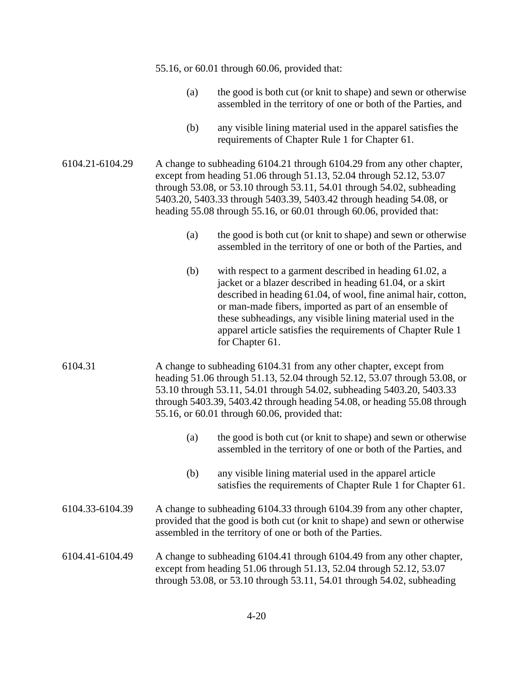|                 | 55.16, or 60.01 through 60.06, provided that:                                                                                                                                                                           |                                                                                                                                                                                                                                                                                                                                                                                                   |  |
|-----------------|-------------------------------------------------------------------------------------------------------------------------------------------------------------------------------------------------------------------------|---------------------------------------------------------------------------------------------------------------------------------------------------------------------------------------------------------------------------------------------------------------------------------------------------------------------------------------------------------------------------------------------------|--|
|                 | (a)                                                                                                                                                                                                                     | the good is both cut (or knit to shape) and sewn or otherwise<br>assembled in the territory of one or both of the Parties, and                                                                                                                                                                                                                                                                    |  |
|                 | (b)                                                                                                                                                                                                                     | any visible lining material used in the apparel satisfies the<br>requirements of Chapter Rule 1 for Chapter 61.                                                                                                                                                                                                                                                                                   |  |
| 6104.21-6104.29 |                                                                                                                                                                                                                         | A change to subheading 6104.21 through 6104.29 from any other chapter,<br>except from heading 51.06 through 51.13, 52.04 through 52.12, 53.07<br>through 53.08, or 53.10 through 53.11, 54.01 through 54.02, subheading<br>5403.20, 5403.33 through 5403.39, 5403.42 through heading 54.08, or<br>heading 55.08 through 55.16, or 60.01 through 60.06, provided that:                             |  |
|                 | (a)                                                                                                                                                                                                                     | the good is both cut (or knit to shape) and sewn or otherwise<br>assembled in the territory of one or both of the Parties, and                                                                                                                                                                                                                                                                    |  |
|                 | (b)                                                                                                                                                                                                                     | with respect to a garment described in heading 61.02, a<br>jacket or a blazer described in heading 61.04, or a skirt<br>described in heading 61.04, of wool, fine animal hair, cotton,<br>or man-made fibers, imported as part of an ensemble of<br>these subheadings, any visible lining material used in the<br>apparel article satisfies the requirements of Chapter Rule 1<br>for Chapter 61. |  |
| 6104.31         |                                                                                                                                                                                                                         | A change to subheading 6104.31 from any other chapter, except from<br>heading 51.06 through 51.13, 52.04 through 52.12, 53.07 through 53.08, or<br>53.10 through 53.11, 54.01 through 54.02, subheading 5403.20, 5403.33<br>through 5403.39, 5403.42 through heading 54.08, or heading 55.08 through<br>55.16, or 60.01 through 60.06, provided that:                                             |  |
|                 | (a)                                                                                                                                                                                                                     | the good is both cut (or knit to shape) and sewn or otherwise<br>assembled in the territory of one or both of the Parties, and                                                                                                                                                                                                                                                                    |  |
|                 | (b)                                                                                                                                                                                                                     | any visible lining material used in the apparel article<br>satisfies the requirements of Chapter Rule 1 for Chapter 61.                                                                                                                                                                                                                                                                           |  |
| 6104.33-6104.39 | A change to subheading 6104.33 through 6104.39 from any other chapter,<br>provided that the good is both cut (or knit to shape) and sewn or otherwise<br>assembled in the territory of one or both of the Parties.      |                                                                                                                                                                                                                                                                                                                                                                                                   |  |
| 6104.41-6104.49 | A change to subheading 6104.41 through 6104.49 from any other chapter,<br>except from heading 51.06 through 51.13, 52.04 through 52.12, 53.07<br>through 53.08, or 53.10 through 53.11, 54.01 through 54.02, subheading |                                                                                                                                                                                                                                                                                                                                                                                                   |  |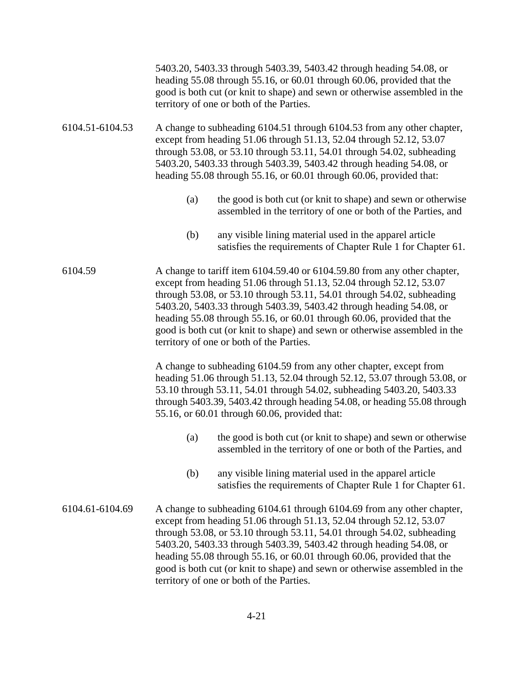|                 | 5403.20, 5403.33 through 5403.39, 5403.42 through heading 54.08, or<br>heading 55.08 through 55.16, or 60.01 through 60.06, provided that the<br>good is both cut (or knit to shape) and sewn or otherwise assembled in the<br>territory of one or both of the Parties.                                                                                                                                                                                                                              |  |  |
|-----------------|------------------------------------------------------------------------------------------------------------------------------------------------------------------------------------------------------------------------------------------------------------------------------------------------------------------------------------------------------------------------------------------------------------------------------------------------------------------------------------------------------|--|--|
| 6104.51-6104.53 | A change to subheading 6104.51 through 6104.53 from any other chapter,<br>except from heading 51.06 through 51.13, 52.04 through 52.12, 53.07<br>through 53.08, or 53.10 through 53.11, 54.01 through 54.02, subheading<br>5403.20, 5403.33 through 5403.39, 5403.42 through heading 54.08, or<br>heading 55.08 through 55.16, or 60.01 through 60.06, provided that:                                                                                                                                |  |  |
|                 | (a)<br>the good is both cut (or knit to shape) and sewn or otherwise<br>assembled in the territory of one or both of the Parties, and                                                                                                                                                                                                                                                                                                                                                                |  |  |
|                 | any visible lining material used in the apparel article<br>(b)<br>satisfies the requirements of Chapter Rule 1 for Chapter 61.                                                                                                                                                                                                                                                                                                                                                                       |  |  |
| 6104.59         | A change to tariff item 6104.59.40 or 6104.59.80 from any other chapter,<br>except from heading 51.06 through 51.13, 52.04 through 52.12, 53.07<br>through 53.08, or 53.10 through 53.11, 54.01 through 54.02, subheading<br>5403.20, 5403.33 through 5403.39, 5403.42 through heading 54.08, or<br>heading 55.08 through 55.16, or 60.01 through 60.06, provided that the<br>good is both cut (or knit to shape) and sewn or otherwise assembled in the<br>territory of one or both of the Parties. |  |  |
|                 | A change to subheading 6104.59 from any other chapter, except from<br>heading 51.06 through 51.13, 52.04 through 52.12, 53.07 through 53.08, or<br>53.10 through 53.11, 54.01 through 54.02, subheading 5403.20, 5403.33<br>through 5403.39, 5403.42 through heading 54.08, or heading 55.08 through<br>55.16, or 60.01 through 60.06, provided that:                                                                                                                                                |  |  |
|                 | the good is both cut (or knit to shape) and sewn or otherwise<br>(a)<br>assembled in the territory of one or both of the Parties, and                                                                                                                                                                                                                                                                                                                                                                |  |  |
|                 | any visible lining material used in the apparel article<br>(b)<br>satisfies the requirements of Chapter Rule 1 for Chapter 61.                                                                                                                                                                                                                                                                                                                                                                       |  |  |
| 6104.61-6104.69 | A change to subheading 6104.61 through 6104.69 from any other chapter,<br>except from heading 51.06 through 51.13, 52.04 through 52.12, 53.07<br>through 53.08, or 53.10 through 53.11, 54.01 through 54.02, subheading<br>5403.20, 5403.33 through 5403.39, 5403.42 through heading 54.08, or<br>heading 55.08 through 55.16, or 60.01 through 60.06, provided that the<br>good is both cut (or knit to shape) and sewn or otherwise assembled in the<br>territory of one or both of the Parties.   |  |  |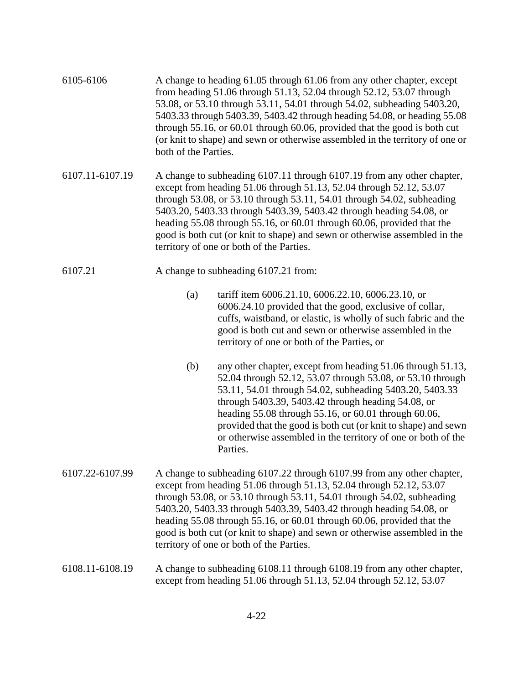| 6105-6106       | A change to heading 61.05 through 61.06 from any other chapter, except<br>from heading 51.06 through 51.13, 52.04 through 52.12, 53.07 through<br>53.08, or 53.10 through 53.11, 54.01 through 54.02, subheading 5403.20,<br>5403.33 through 5403.39, 5403.42 through heading 54.08, or heading 55.08<br>through 55.16, or 60.01 through 60.06, provided that the good is both cut<br>(or knit to shape) and sewn or otherwise assembled in the territory of one or<br>both of the Parties.        |                                                                                                                                                                                                                                                                                                                                                                                                                                                   |
|-----------------|----------------------------------------------------------------------------------------------------------------------------------------------------------------------------------------------------------------------------------------------------------------------------------------------------------------------------------------------------------------------------------------------------------------------------------------------------------------------------------------------------|---------------------------------------------------------------------------------------------------------------------------------------------------------------------------------------------------------------------------------------------------------------------------------------------------------------------------------------------------------------------------------------------------------------------------------------------------|
| 6107.11-6107.19 | A change to subheading 6107.11 through 6107.19 from any other chapter,<br>except from heading 51.06 through 51.13, 52.04 through 52.12, 53.07<br>through 53.08, or 53.10 through 53.11, 54.01 through 54.02, subheading<br>5403.20, 5403.33 through 5403.39, 5403.42 through heading 54.08, or<br>heading 55.08 through 55.16, or 60.01 through 60.06, provided that the<br>good is both cut (or knit to shape) and sewn or otherwise assembled in the<br>territory of one or both of the Parties. |                                                                                                                                                                                                                                                                                                                                                                                                                                                   |
| 6107.21         | A change to subheading 6107.21 from:                                                                                                                                                                                                                                                                                                                                                                                                                                                               |                                                                                                                                                                                                                                                                                                                                                                                                                                                   |
|                 | (a)                                                                                                                                                                                                                                                                                                                                                                                                                                                                                                | tariff item 6006.21.10, 6006.22.10, 6006.23.10, or<br>6006.24.10 provided that the good, exclusive of collar,<br>cuffs, waistband, or elastic, is wholly of such fabric and the<br>good is both cut and sewn or otherwise assembled in the<br>territory of one or both of the Parties, or                                                                                                                                                         |
|                 | (b)                                                                                                                                                                                                                                                                                                                                                                                                                                                                                                | any other chapter, except from heading 51.06 through 51.13,<br>52.04 through 52.12, 53.07 through 53.08, or 53.10 through<br>53.11, 54.01 through 54.02, subheading 5403.20, 5403.33<br>through 5403.39, 5403.42 through heading 54.08, or<br>heading 55.08 through 55.16, or 60.01 through 60.06,<br>provided that the good is both cut (or knit to shape) and sewn<br>or otherwise assembled in the territory of one or both of the<br>Parties. |
| 6107.22-6107.99 | A change to subheading 6107.22 through 6107.99 from any other chapter,<br>except from heading 51.06 through 51.13, 52.04 through 52.12, 53.07<br>through 53.08, or 53.10 through 53.11, 54.01 through 54.02, subheading<br>5403.20, 5403.33 through 5403.39, 5403.42 through heading 54.08, or<br>heading 55.08 through 55.16, or 60.01 through 60.06, provided that the<br>good is both cut (or knit to shape) and sewn or otherwise assembled in the<br>territory of one or both of the Parties. |                                                                                                                                                                                                                                                                                                                                                                                                                                                   |
| 6108.11-6108.19 | A change to subheading 6108.11 through 6108.19 from any other chapter,<br>except from heading 51.06 through 51.13, 52.04 through 52.12, 53.07                                                                                                                                                                                                                                                                                                                                                      |                                                                                                                                                                                                                                                                                                                                                                                                                                                   |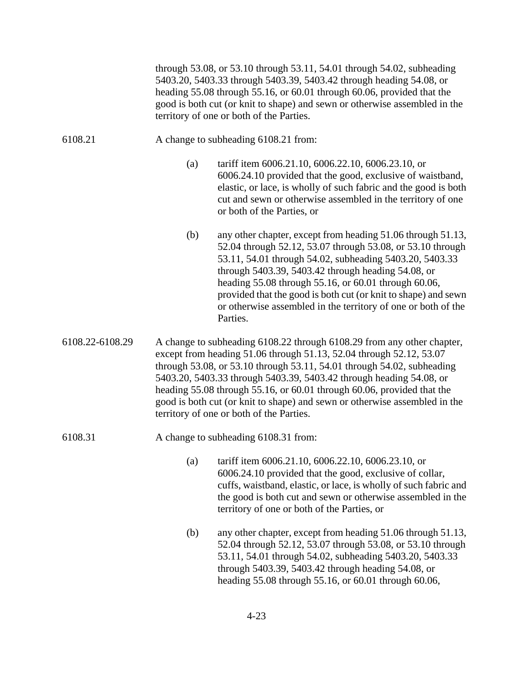through 53.08, or 53.10 through 53.11, 54.01 through 54.02, subheading 5403.20, 5403.33 through 5403.39, 5403.42 through heading 54.08, or heading 55.08 through 55.16, or 60.01 through 60.06, provided that the good is both cut (or knit to shape) and sewn or otherwise assembled in the territory of one or both of the Parties.

- 6108.21 A change to subheading 6108.21 from:
	- (a) tariff item 6006.21.10, 6006.22.10, 6006.23.10, or 6006.24.10 provided that the good, exclusive of waistband, elastic, or lace, is wholly of such fabric and the good is both cut and sewn or otherwise assembled in the territory of one or both of the Parties, or
	- (b) any other chapter, except from heading 51.06 through 51.13, 52.04 through 52.12, 53.07 through 53.08, or 53.10 through 53.11, 54.01 through 54.02, subheading 5403.20, 5403.33 through 5403.39, 5403.42 through heading 54.08, or heading 55.08 through 55.16, or 60.01 through 60.06, provided that the good is both cut (or knit to shape) and sewn or otherwise assembled in the territory of one or both of the Parties.
- 6108.22-6108.29 A change to subheading 6108.22 through 6108.29 from any other chapter, except from heading 51.06 through 51.13, 52.04 through 52.12, 53.07 through 53.08, or 53.10 through 53.11, 54.01 through 54.02, subheading 5403.20, 5403.33 through 5403.39, 5403.42 through heading 54.08, or heading 55.08 through 55.16, or 60.01 through 60.06, provided that the good is both cut (or knit to shape) and sewn or otherwise assembled in the territory of one or both of the Parties.

#### 6108.31 A change to subheading 6108.31 from:

- (a) tariff item 6006.21.10, 6006.22.10, 6006.23.10, or 6006.24.10 provided that the good, exclusive of collar, cuffs, waistband, elastic, or lace, is wholly of such fabric and the good is both cut and sewn or otherwise assembled in the territory of one or both of the Parties, or
- (b) any other chapter, except from heading 51.06 through 51.13, 52.04 through 52.12, 53.07 through 53.08, or 53.10 through 53.11, 54.01 through 54.02, subheading 5403.20, 5403.33 through 5403.39, 5403.42 through heading 54.08, or heading 55.08 through 55.16, or 60.01 through 60.06,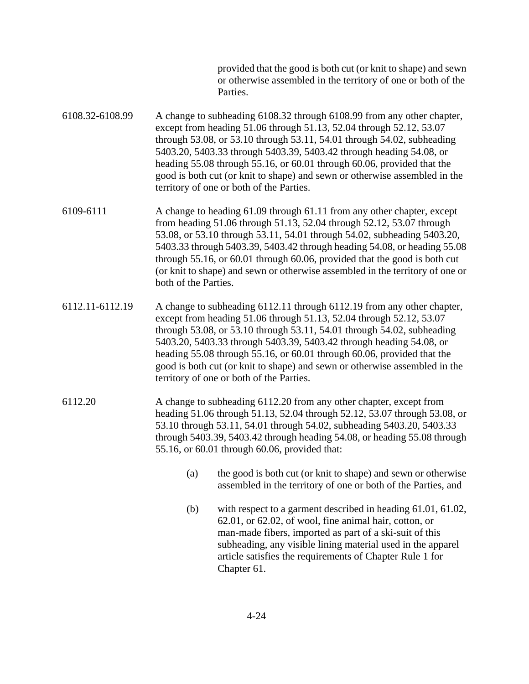provided that the good is both cut (or knit to shape) and sewn or otherwise assembled in the territory of one or both of the Parties.

- 6108.32-6108.99 A change to subheading 6108.32 through 6108.99 from any other chapter, except from heading 51.06 through 51.13, 52.04 through 52.12, 53.07 through 53.08, or 53.10 through 53.11, 54.01 through 54.02, subheading 5403.20, 5403.33 through 5403.39, 5403.42 through heading 54.08, or heading 55.08 through 55.16, or 60.01 through 60.06, provided that the good is both cut (or knit to shape) and sewn or otherwise assembled in the territory of one or both of the Parties.
- 6109-6111 A change to heading 61.09 through 61.11 from any other chapter, except from heading 51.06 through 51.13, 52.04 through 52.12, 53.07 through 53.08, or 53.10 through 53.11, 54.01 through 54.02, subheading 5403.20, 5403.33 through 5403.39, 5403.42 through heading 54.08, or heading 55.08 through 55.16, or 60.01 through 60.06, provided that the good is both cut (or knit to shape) and sewn or otherwise assembled in the territory of one or both of the Parties.
- 6112.11-6112.19 A change to subheading 6112.11 through 6112.19 from any other chapter, except from heading 51.06 through 51.13, 52.04 through 52.12, 53.07 through 53.08, or 53.10 through 53.11, 54.01 through 54.02, subheading 5403.20, 5403.33 through 5403.39, 5403.42 through heading 54.08, or heading 55.08 through 55.16, or 60.01 through 60.06, provided that the good is both cut (or knit to shape) and sewn or otherwise assembled in the territory of one or both of the Parties.
- 6112.20 A change to subheading 6112.20 from any other chapter, except from heading 51.06 through 51.13, 52.04 through 52.12, 53.07 through 53.08, or 53.10 through 53.11, 54.01 through 54.02, subheading 5403.20, 5403.33 through 5403.39, 5403.42 through heading 54.08, or heading 55.08 through 55.16, or 60.01 through 60.06, provided that:
	- (a) the good is both cut (or knit to shape) and sewn or otherwise assembled in the territory of one or both of the Parties, and
	- (b) with respect to a garment described in heading 61.01, 61.02, 62.01, or 62.02, of wool, fine animal hair, cotton, or man-made fibers, imported as part of a ski-suit of this subheading, any visible lining material used in the apparel article satisfies the requirements of Chapter Rule 1 for Chapter 61.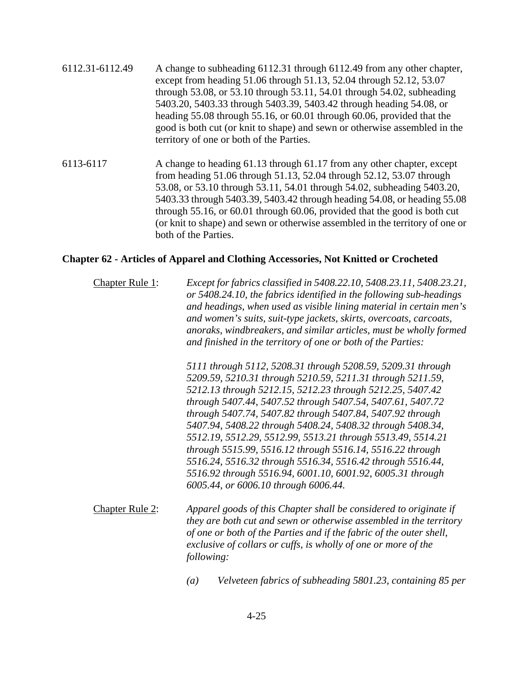- 6112.31-6112.49 A change to subheading 6112.31 through 6112.49 from any other chapter, except from heading 51.06 through 51.13, 52.04 through 52.12, 53.07 through 53.08, or 53.10 through 53.11, 54.01 through 54.02, subheading 5403.20, 5403.33 through 5403.39, 5403.42 through heading 54.08, or heading 55.08 through 55.16, or 60.01 through 60.06, provided that the good is both cut (or knit to shape) and sewn or otherwise assembled in the territory of one or both of the Parties.
- 6113-6117 A change to heading 61.13 through 61.17 from any other chapter, except from heading 51.06 through 51.13, 52.04 through 52.12, 53.07 through 53.08, or 53.10 through 53.11, 54.01 through 54.02, subheading 5403.20, 5403.33 through 5403.39, 5403.42 through heading 54.08, or heading 55.08 through 55.16, or 60.01 through 60.06, provided that the good is both cut (or knit to shape) and sewn or otherwise assembled in the territory of one or both of the Parties.

#### **Chapter 62 - Articles of Apparel and Clothing Accessories, Not Knitted or Crocheted**

Chapter Rule 1: *Except for fabrics classified in 5408.22.10, 5408.23.11, 5408.23.21, or 5408.24.10, the fabrics identified in the following sub-headings and headings, when used as visible lining material in certain men's and women's suits, suit-type jackets, skirts, overcoats, carcoats, anoraks, windbreakers, and similar articles, must be wholly formed and finished in the territory of one or both of the Parties:* 

> *5111 through 5112, 5208.31 through 5208.59, 5209.31 through 5209.59, 5210.31 through 5210.59, 5211.31 through 5211.59, 5212.13 through 5212.15, 5212.23 through 5212.25, 5407.42 through 5407.44, 5407.52 through 5407.54, 5407.61, 5407.72 through 5407.74, 5407.82 through 5407.84, 5407.92 through 5407.94, 5408.22 through 5408.24, 5408.32 through 5408.34, 5512.19, 5512.29, 5512.99, 5513.21 through 5513.49, 5514.21 through 5515.99, 5516.12 through 5516.14, 5516.22 through 5516.24, 5516.32 through 5516.34, 5516.42 through 5516.44, 5516.92 through 5516.94, 6001.10, 6001.92, 6005.31 through 6005.44, or 6006.10 through 6006.44.*

- Chapter Rule 2: *Apparel goods of this Chapter shall be considered to originate if they are both cut and sewn or otherwise assembled in the territory of one or both of the Parties and if the fabric of the outer shell, exclusive of collars or cuffs, is wholly of one or more of the following:*
	- *(a) Velveteen fabrics of subheading 5801.23, containing 85 per*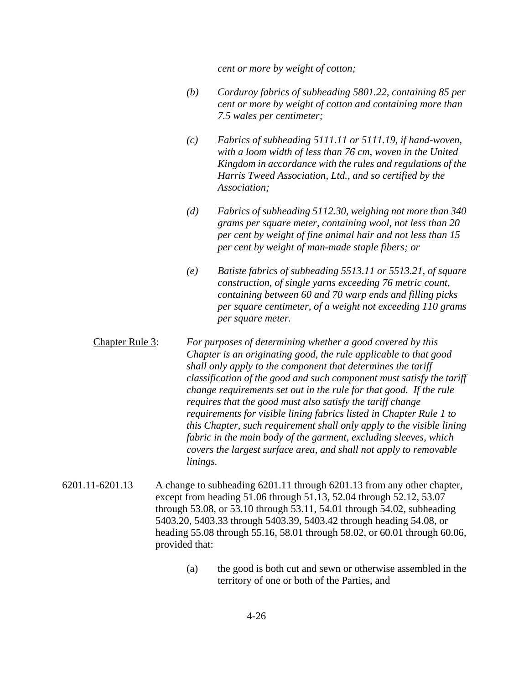*cent or more by weight of cotton;* 

- *(b) Corduroy fabrics of subheading 5801.22, containing 85 per cent or more by weight of cotton and containing more than 7.5 wales per centimeter;*
- *(c) Fabrics of subheading 5111.11 or 5111.19, if hand-woven, with a loom width of less than 76 cm, woven in the United Kingdom in accordance with the rules and regulations of the Harris Tweed Association, Ltd., and so certified by the Association;*
- *(d) Fabrics of subheading 5112.30, weighing not more than 340 grams per square meter, containing wool, not less than 20 per cent by weight of fine animal hair and not less than 15 per cent by weight of man-made staple fibers; or*
- *(e) Batiste fabrics of subheading 5513.11 or 5513.21, of square construction, of single yarns exceeding 76 metric count, containing between 60 and 70 warp ends and filling picks per square centimeter, of a weight not exceeding 110 grams per square meter.*
- Chapter Rule 3: *For purposes of determining whether a good covered by this Chapter is an originating good, the rule applicable to that good shall only apply to the component that determines the tariff classification of the good and such component must satisfy the tariff change requirements set out in the rule for that good. If the rule requires that the good must also satisfy the tariff change requirements for visible lining fabrics listed in Chapter Rule 1 to this Chapter, such requirement shall only apply to the visible lining fabric in the main body of the garment, excluding sleeves, which covers the largest surface area, and shall not apply to removable linings.*
- 6201.11-6201.13 A change to subheading 6201.11 through 6201.13 from any other chapter, except from heading 51.06 through 51.13, 52.04 through 52.12, 53.07 through 53.08, or 53.10 through 53.11, 54.01 through 54.02, subheading 5403.20, 5403.33 through 5403.39, 5403.42 through heading 54.08, or heading 55.08 through 55.16, 58.01 through 58.02, or 60.01 through 60.06, provided that:
	- (a) the good is both cut and sewn or otherwise assembled in the territory of one or both of the Parties, and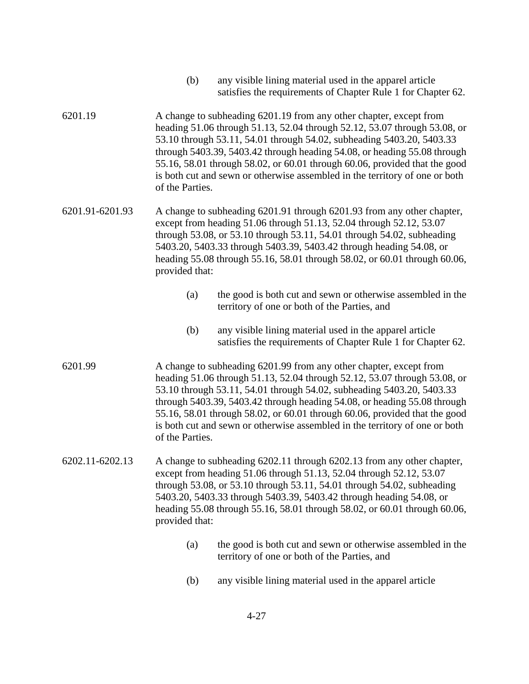- (b) any visible lining material used in the apparel article satisfies the requirements of Chapter Rule 1 for Chapter 62.
- 6201.19 A change to subheading 6201.19 from any other chapter, except from heading 51.06 through 51.13, 52.04 through 52.12, 53.07 through 53.08, or 53.10 through 53.11, 54.01 through 54.02, subheading 5403.20, 5403.33 through 5403.39, 5403.42 through heading 54.08, or heading 55.08 through 55.16, 58.01 through 58.02, or 60.01 through 60.06, provided that the good is both cut and sewn or otherwise assembled in the territory of one or both of the Parties.
- 6201.91-6201.93 A change to subheading 6201.91 through 6201.93 from any other chapter, except from heading 51.06 through 51.13, 52.04 through 52.12, 53.07 through 53.08, or 53.10 through 53.11, 54.01 through 54.02, subheading 5403.20, 5403.33 through 5403.39, 5403.42 through heading 54.08, or heading 55.08 through 55.16, 58.01 through 58.02, or 60.01 through 60.06, provided that:
	- (a) the good is both cut and sewn or otherwise assembled in the territory of one or both of the Parties, and
	- (b) any visible lining material used in the apparel article satisfies the requirements of Chapter Rule 1 for Chapter 62.
- 6201.99 A change to subheading 6201.99 from any other chapter, except from heading 51.06 through 51.13, 52.04 through 52.12, 53.07 through 53.08, or 53.10 through 53.11, 54.01 through 54.02, subheading 5403.20, 5403.33 through 5403.39, 5403.42 through heading 54.08, or heading 55.08 through 55.16, 58.01 through 58.02, or 60.01 through 60.06, provided that the good is both cut and sewn or otherwise assembled in the territory of one or both of the Parties.
- 6202.11-6202.13 A change to subheading 6202.11 through 6202.13 from any other chapter, except from heading 51.06 through 51.13, 52.04 through 52.12, 53.07 through 53.08, or 53.10 through 53.11, 54.01 through 54.02, subheading 5403.20, 5403.33 through 5403.39, 5403.42 through heading 54.08, or heading 55.08 through 55.16, 58.01 through 58.02, or 60.01 through 60.06, provided that:
	- (a) the good is both cut and sewn or otherwise assembled in the territory of one or both of the Parties, and
	- (b) any visible lining material used in the apparel article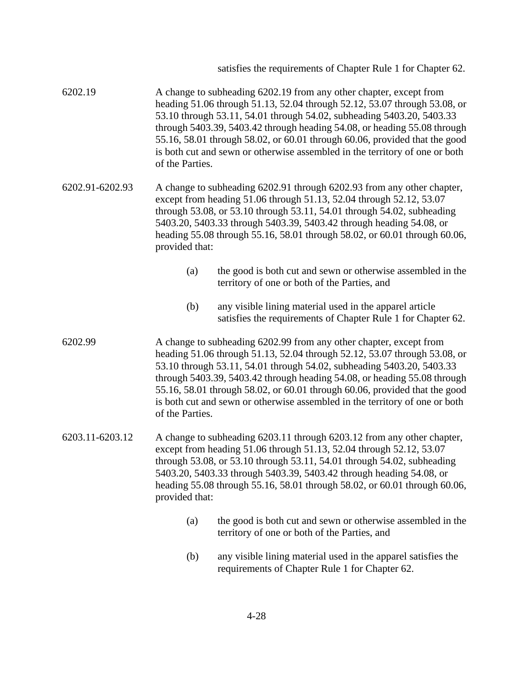|                 |                                                                                                                                                                                                                                                                                                                                                                                               | satisfies the requirements of Chapter Rule 1 for Chapter 62.                                                                                                                                                                                                                                                                                                                                                                                                      |
|-----------------|-----------------------------------------------------------------------------------------------------------------------------------------------------------------------------------------------------------------------------------------------------------------------------------------------------------------------------------------------------------------------------------------------|-------------------------------------------------------------------------------------------------------------------------------------------------------------------------------------------------------------------------------------------------------------------------------------------------------------------------------------------------------------------------------------------------------------------------------------------------------------------|
| 6202.19         | of the Parties.                                                                                                                                                                                                                                                                                                                                                                               | A change to subheading 6202.19 from any other chapter, except from<br>heading 51.06 through 51.13, 52.04 through 52.12, 53.07 through 53.08, or<br>53.10 through 53.11, 54.01 through 54.02, subheading 5403.20, 5403.33<br>through 5403.39, 5403.42 through heading 54.08, or heading 55.08 through<br>55.16, 58.01 through 58.02, or 60.01 through 60.06, provided that the good<br>is both cut and sewn or otherwise assembled in the territory of one or both |
| 6202.91-6202.93 | A change to subheading 6202.91 through 6202.93 from any other chapter,<br>except from heading 51.06 through 51.13, 52.04 through 52.12, 53.07<br>through 53.08, or 53.10 through 53.11, 54.01 through 54.02, subheading<br>5403.20, 5403.33 through 5403.39, 5403.42 through heading 54.08, or<br>heading 55.08 through 55.16, 58.01 through 58.02, or 60.01 through 60.06,<br>provided that: |                                                                                                                                                                                                                                                                                                                                                                                                                                                                   |
|                 | (a)                                                                                                                                                                                                                                                                                                                                                                                           | the good is both cut and sewn or otherwise assembled in the<br>territory of one or both of the Parties, and                                                                                                                                                                                                                                                                                                                                                       |
|                 | (b)                                                                                                                                                                                                                                                                                                                                                                                           | any visible lining material used in the apparel article<br>satisfies the requirements of Chapter Rule 1 for Chapter 62.                                                                                                                                                                                                                                                                                                                                           |
| 6202.99         | of the Parties.                                                                                                                                                                                                                                                                                                                                                                               | A change to subheading 6202.99 from any other chapter, except from<br>heading 51.06 through 51.13, 52.04 through 52.12, 53.07 through 53.08, or<br>53.10 through 53.11, 54.01 through 54.02, subheading 5403.20, 5403.33<br>through 5403.39, 5403.42 through heading 54.08, or heading 55.08 through<br>55.16, 58.01 through 58.02, or 60.01 through 60.06, provided that the good<br>is both cut and sewn or otherwise assembled in the territory of one or both |
| 6203.11-6203.12 | A change to subheading 6203.11 through 6203.12 from any other chapter,<br>except from heading 51.06 through 51.13, 52.04 through 52.12, 53.07<br>through 53.08, or 53.10 through 53.11, 54.01 through 54.02, subheading<br>5403.20, 5403.33 through 5403.39, 5403.42 through heading 54.08, or<br>heading 55.08 through 55.16, 58.01 through 58.02, or 60.01 through 60.06,<br>provided that: |                                                                                                                                                                                                                                                                                                                                                                                                                                                                   |
|                 | (a)                                                                                                                                                                                                                                                                                                                                                                                           | the good is both cut and sewn or otherwise assembled in the<br>territory of one or both of the Parties, and                                                                                                                                                                                                                                                                                                                                                       |
|                 | (b)                                                                                                                                                                                                                                                                                                                                                                                           | any visible lining material used in the apparel satisfies the<br>requirements of Chapter Rule 1 for Chapter 62.                                                                                                                                                                                                                                                                                                                                                   |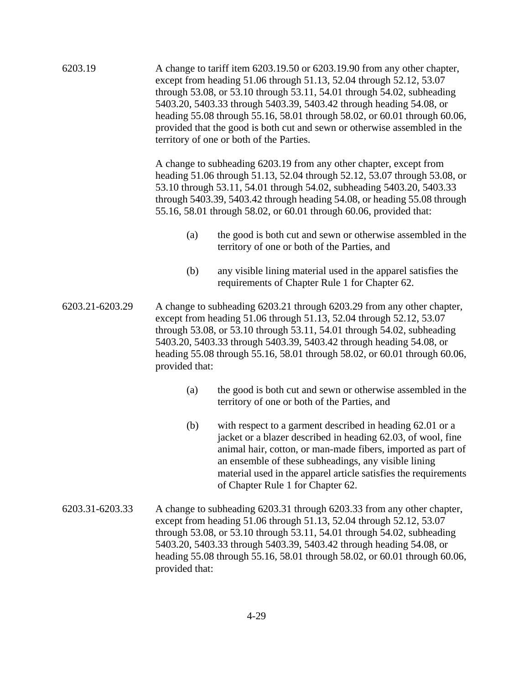| 6203.19         | A change to tariff item 6203.19.50 or 6203.19.90 from any other chapter,<br>except from heading 51.06 through 51.13, 52.04 through 52.12, 53.07<br>through 53.08, or 53.10 through 53.11, 54.01 through 54.02, subheading<br>5403.20, 5403.33 through 5403.39, 5403.42 through heading 54.08, or<br>heading 55.08 through 55.16, 58.01 through 58.02, or 60.01 through 60.06,<br>provided that the good is both cut and sewn or otherwise assembled in the<br>territory of one or both of the Parties.<br>A change to subheading 6203.19 from any other chapter, except from<br>heading 51.06 through 51.13, 52.04 through 52.12, 53.07 through 53.08, or<br>53.10 through 53.11, 54.01 through 54.02, subheading 5403.20, 5403.33<br>through 5403.39, 5403.42 through heading 54.08, or heading 55.08 through<br>55.16, 58.01 through 58.02, or 60.01 through 60.06, provided that: |                                                                                                                                                                                                                                                                                                                                                                             |  |
|-----------------|--------------------------------------------------------------------------------------------------------------------------------------------------------------------------------------------------------------------------------------------------------------------------------------------------------------------------------------------------------------------------------------------------------------------------------------------------------------------------------------------------------------------------------------------------------------------------------------------------------------------------------------------------------------------------------------------------------------------------------------------------------------------------------------------------------------------------------------------------------------------------------------|-----------------------------------------------------------------------------------------------------------------------------------------------------------------------------------------------------------------------------------------------------------------------------------------------------------------------------------------------------------------------------|--|
|                 |                                                                                                                                                                                                                                                                                                                                                                                                                                                                                                                                                                                                                                                                                                                                                                                                                                                                                      |                                                                                                                                                                                                                                                                                                                                                                             |  |
|                 | (a)                                                                                                                                                                                                                                                                                                                                                                                                                                                                                                                                                                                                                                                                                                                                                                                                                                                                                  | the good is both cut and sewn or otherwise assembled in the<br>territory of one or both of the Parties, and                                                                                                                                                                                                                                                                 |  |
|                 | (b)                                                                                                                                                                                                                                                                                                                                                                                                                                                                                                                                                                                                                                                                                                                                                                                                                                                                                  | any visible lining material used in the apparel satisfies the<br>requirements of Chapter Rule 1 for Chapter 62.                                                                                                                                                                                                                                                             |  |
| 6203.21-6203.29 | A change to subheading 6203.21 through 6203.29 from any other chapter,<br>except from heading 51.06 through 51.13, 52.04 through 52.12, 53.07<br>through 53.08, or 53.10 through 53.11, 54.01 through 54.02, subheading<br>5403.20, 5403.33 through 5403.39, 5403.42 through heading 54.08, or<br>heading 55.08 through 55.16, 58.01 through 58.02, or 60.01 through 60.06,<br>provided that:                                                                                                                                                                                                                                                                                                                                                                                                                                                                                        |                                                                                                                                                                                                                                                                                                                                                                             |  |
|                 | (a)                                                                                                                                                                                                                                                                                                                                                                                                                                                                                                                                                                                                                                                                                                                                                                                                                                                                                  | the good is both cut and sewn or otherwise assembled in the<br>territory of one or both of the Parties, and                                                                                                                                                                                                                                                                 |  |
|                 | (b)                                                                                                                                                                                                                                                                                                                                                                                                                                                                                                                                                                                                                                                                                                                                                                                                                                                                                  | with respect to a garment described in heading 62.01 or a<br>jacket or a blazer described in heading 62.03, of wool, fine<br>animal hair, cotton, or man-made fibers, imported as part of<br>an ensemble of these subheadings, any visible lining<br>material used in the apparel article satisfies the requirements<br>of Chapter Rule 1 for Chapter 62.                   |  |
| 6203.31-6203.33 | provided that:                                                                                                                                                                                                                                                                                                                                                                                                                                                                                                                                                                                                                                                                                                                                                                                                                                                                       | A change to subheading 6203.31 through 6203.33 from any other chapter,<br>except from heading 51.06 through 51.13, 52.04 through 52.12, 53.07<br>through 53.08, or 53.10 through 53.11, 54.01 through 54.02, subheading<br>5403.20, 5403.33 through 5403.39, 5403.42 through heading 54.08, or<br>heading 55.08 through 55.16, 58.01 through 58.02, or 60.01 through 60.06, |  |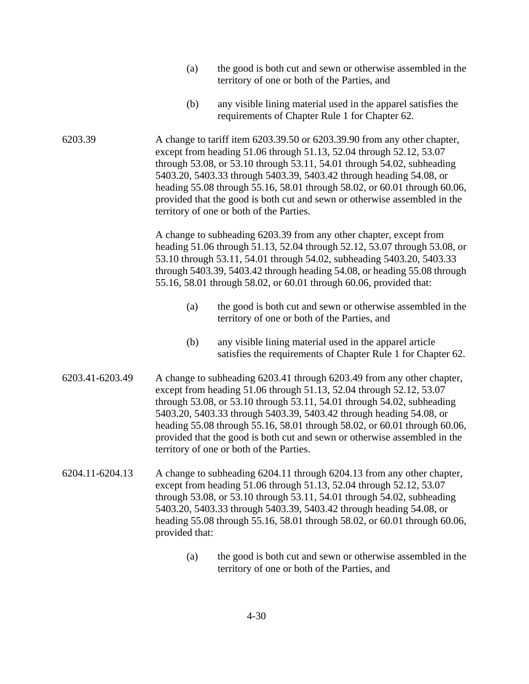- (a) the good is both cut and sewn or otherwise assembled in the territory of one or both of the Parties, and
- (b) any visible lining material used in the apparel satisfies the requirements of Chapter Rule 1 for Chapter 62.

6203.39 A change to tariff item 6203.39.50 or 6203.39.90 from any other chapter, except from heading 51.06 through 51.13, 52.04 through 52.12, 53.07 through 53.08, or 53.10 through 53.11, 54.01 through 54.02, subheading 5403.20, 5403.33 through 5403.39, 5403.42 through heading 54.08, or heading 55.08 through 55.16, 58.01 through 58.02, or 60.01 through 60.06, provided that the good is both cut and sewn or otherwise assembled in the territory of one or both of the Parties.

> A change to subheading 6203.39 from any other chapter, except from heading 51.06 through 51.13, 52.04 through 52.12, 53.07 through 53.08, or 53.10 through 53.11, 54.01 through 54.02, subheading 5403.20, 5403.33 through 5403.39, 5403.42 through heading 54.08, or heading 55.08 through 55.16, 58.01 through 58.02, or 60.01 through 60.06, provided that:

- (a) the good is both cut and sewn or otherwise assembled in the territory of one or both of the Parties, and
- (b) any visible lining material used in the apparel article satisfies the requirements of Chapter Rule 1 for Chapter 62.
- 6203.41-6203.49 A change to subheading 6203.41 through 6203.49 from any other chapter, except from heading 51.06 through 51.13, 52.04 through 52.12, 53.07 through 53.08, or 53.10 through 53.11, 54.01 through 54.02, subheading 5403.20, 5403.33 through 5403.39, 5403.42 through heading 54.08, or heading 55.08 through 55.16, 58.01 through 58.02, or 60.01 through 60.06, provided that the good is both cut and sewn or otherwise assembled in the territory of one or both of the Parties.
- 6204.11-6204.13 A change to subheading 6204.11 through 6204.13 from any other chapter, except from heading 51.06 through 51.13, 52.04 through 52.12, 53.07 through 53.08, or 53.10 through 53.11, 54.01 through 54.02, subheading 5403.20, 5403.33 through 5403.39, 5403.42 through heading 54.08, or heading 55.08 through 55.16, 58.01 through 58.02, or 60.01 through 60.06, provided that:
	- (a) the good is both cut and sewn or otherwise assembled in the territory of one or both of the Parties, and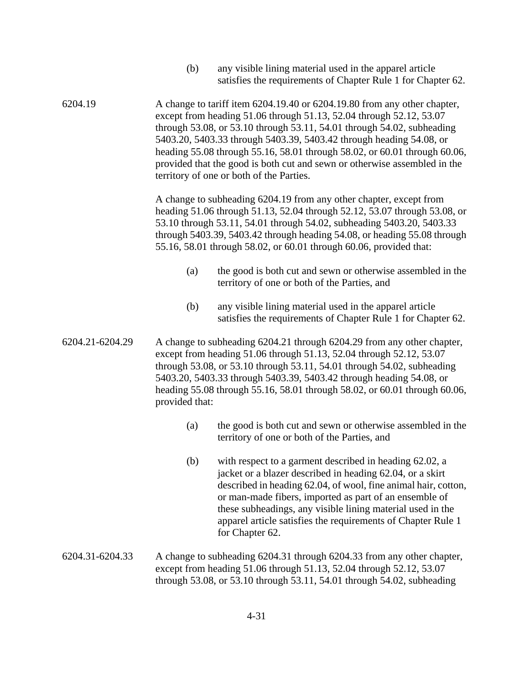| (b) | any visible lining material used in the apparel article      |
|-----|--------------------------------------------------------------|
|     | satisfies the requirements of Chapter Rule 1 for Chapter 62. |

6204.19 A change to tariff item 6204.19.40 or 6204.19.80 from any other chapter, except from heading 51.06 through 51.13, 52.04 through 52.12, 53.07 through 53.08, or 53.10 through 53.11, 54.01 through 54.02, subheading 5403.20, 5403.33 through 5403.39, 5403.42 through heading 54.08, or heading 55.08 through 55.16, 58.01 through 58.02, or 60.01 through 60.06, provided that the good is both cut and sewn or otherwise assembled in the territory of one or both of the Parties.

> A change to subheading 6204.19 from any other chapter, except from heading 51.06 through 51.13, 52.04 through 52.12, 53.07 through 53.08, or 53.10 through 53.11, 54.01 through 54.02, subheading 5403.20, 5403.33 through 5403.39, 5403.42 through heading 54.08, or heading 55.08 through 55.16, 58.01 through 58.02, or 60.01 through 60.06, provided that:

- (a) the good is both cut and sewn or otherwise assembled in the territory of one or both of the Parties, and
- (b) any visible lining material used in the apparel article satisfies the requirements of Chapter Rule 1 for Chapter 62.
- 6204.21-6204.29 A change to subheading 6204.21 through 6204.29 from any other chapter, except from heading 51.06 through 51.13, 52.04 through 52.12, 53.07 through 53.08, or 53.10 through 53.11, 54.01 through 54.02, subheading 5403.20, 5403.33 through 5403.39, 5403.42 through heading 54.08, or heading 55.08 through 55.16, 58.01 through 58.02, or 60.01 through 60.06, provided that:
	- (a) the good is both cut and sewn or otherwise assembled in the territory of one or both of the Parties, and
	- (b) with respect to a garment described in heading 62.02, a jacket or a blazer described in heading 62.04, or a skirt described in heading 62.04, of wool, fine animal hair, cotton, or man-made fibers, imported as part of an ensemble of these subheadings, any visible lining material used in the apparel article satisfies the requirements of Chapter Rule 1 for Chapter 62.
- 6204.31-6204.33 A change to subheading 6204.31 through 6204.33 from any other chapter, except from heading 51.06 through 51.13, 52.04 through 52.12, 53.07 through 53.08, or 53.10 through 53.11, 54.01 through 54.02, subheading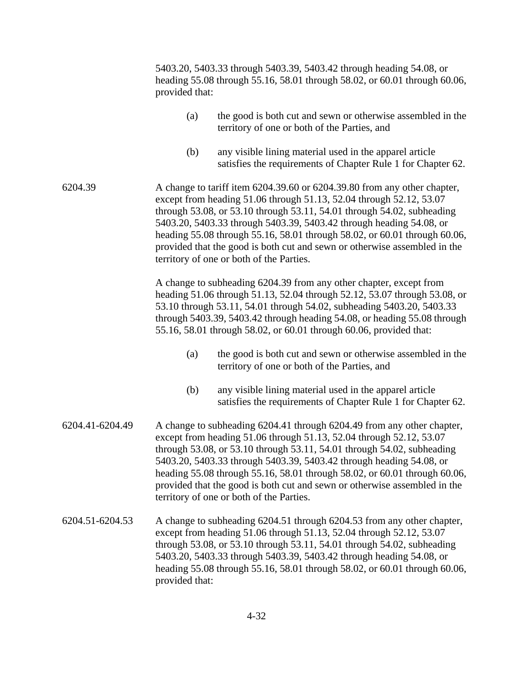|                 | provided that:                                                                                                                                                                                                                                                                                                                                                                                                                                                                                         | 5403.20, 5403.33 through 5403.39, 5403.42 through heading 54.08, or<br>heading 55.08 through 55.16, 58.01 through 58.02, or 60.01 through 60.06,                                                                                                                                                                                                                            |
|-----------------|--------------------------------------------------------------------------------------------------------------------------------------------------------------------------------------------------------------------------------------------------------------------------------------------------------------------------------------------------------------------------------------------------------------------------------------------------------------------------------------------------------|-----------------------------------------------------------------------------------------------------------------------------------------------------------------------------------------------------------------------------------------------------------------------------------------------------------------------------------------------------------------------------|
|                 | (a)                                                                                                                                                                                                                                                                                                                                                                                                                                                                                                    | the good is both cut and sewn or otherwise assembled in the<br>territory of one or both of the Parties, and                                                                                                                                                                                                                                                                 |
|                 | (b)                                                                                                                                                                                                                                                                                                                                                                                                                                                                                                    | any visible lining material used in the apparel article<br>satisfies the requirements of Chapter Rule 1 for Chapter 62.                                                                                                                                                                                                                                                     |
| 6204.39         | A change to tariff item 6204.39.60 or 6204.39.80 from any other chapter,<br>except from heading 51.06 through 51.13, 52.04 through 52.12, 53.07<br>through 53.08, or 53.10 through 53.11, 54.01 through 54.02, subheading<br>5403.20, 5403.33 through 5403.39, 5403.42 through heading 54.08, or<br>heading 55.08 through 55.16, 58.01 through 58.02, or 60.01 through 60.06,<br>provided that the good is both cut and sewn or otherwise assembled in the<br>territory of one or both of the Parties. |                                                                                                                                                                                                                                                                                                                                                                             |
|                 |                                                                                                                                                                                                                                                                                                                                                                                                                                                                                                        | A change to subheading 6204.39 from any other chapter, except from<br>heading 51.06 through 51.13, 52.04 through 52.12, 53.07 through 53.08, or<br>53.10 through 53.11, 54.01 through 54.02, subheading 5403.20, 5403.33<br>through 5403.39, 5403.42 through heading 54.08, or heading 55.08 through<br>55.16, 58.01 through 58.02, or 60.01 through 60.06, provided that:  |
|                 | (a)                                                                                                                                                                                                                                                                                                                                                                                                                                                                                                    | the good is both cut and sewn or otherwise assembled in the<br>territory of one or both of the Parties, and                                                                                                                                                                                                                                                                 |
|                 | (b)                                                                                                                                                                                                                                                                                                                                                                                                                                                                                                    | any visible lining material used in the apparel article<br>satisfies the requirements of Chapter Rule 1 for Chapter 62.                                                                                                                                                                                                                                                     |
| 6204.41-6204.49 | A change to subheading 6204.41 through 6204.49 from any other chapter,<br>except from heading 51.06 through 51.13, 52.04 through 52.12, 53.07<br>through 53.08, or 53.10 through 53.11, 54.01 through 54.02, subheading<br>5403.20, 5403.33 through 5403.39, 5403.42 through heading 54.08, or<br>heading 55.08 through 55.16, 58.01 through 58.02, or 60.01 through 60.06,<br>provided that the good is both cut and sewn or otherwise assembled in the<br>territory of one or both of the Parties.   |                                                                                                                                                                                                                                                                                                                                                                             |
| 6204.51-6204.53 | provided that:                                                                                                                                                                                                                                                                                                                                                                                                                                                                                         | A change to subheading 6204.51 through 6204.53 from any other chapter,<br>except from heading 51.06 through 51.13, 52.04 through 52.12, 53.07<br>through 53.08, or 53.10 through 53.11, 54.01 through 54.02, subheading<br>5403.20, 5403.33 through 5403.39, 5403.42 through heading 54.08, or<br>heading 55.08 through 55.16, 58.01 through 58.02, or 60.01 through 60.06, |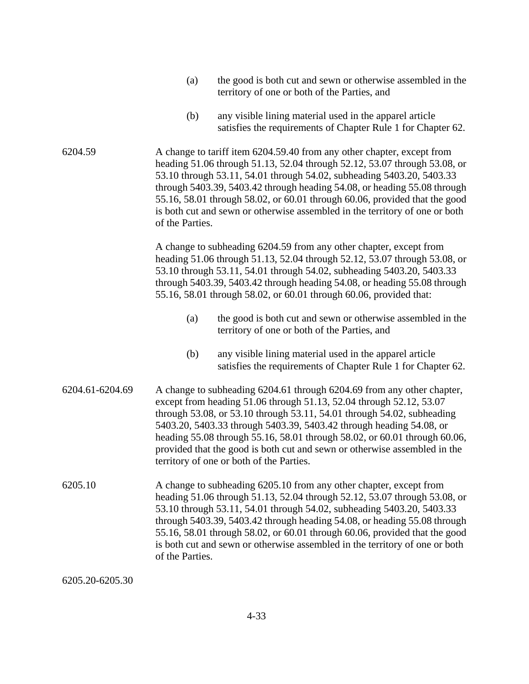| (a) | the good is both cut and sewn or otherwise assembled in the |
|-----|-------------------------------------------------------------|
|     | territory of one or both of the Parties, and                |

(b) any visible lining material used in the apparel article satisfies the requirements of Chapter Rule 1 for Chapter 62.

6204.59 A change to tariff item 6204.59.40 from any other chapter, except from heading 51.06 through 51.13, 52.04 through 52.12, 53.07 through 53.08, or 53.10 through 53.11, 54.01 through 54.02, subheading 5403.20, 5403.33 through 5403.39, 5403.42 through heading 54.08, or heading 55.08 through 55.16, 58.01 through 58.02, or 60.01 through 60.06, provided that the good is both cut and sewn or otherwise assembled in the territory of one or both of the Parties.

> A change to subheading 6204.59 from any other chapter, except from heading 51.06 through 51.13, 52.04 through 52.12, 53.07 through 53.08, or 53.10 through 53.11, 54.01 through 54.02, subheading 5403.20, 5403.33 through 5403.39, 5403.42 through heading 54.08, or heading 55.08 through 55.16, 58.01 through 58.02, or 60.01 through 60.06, provided that:

- (a) the good is both cut and sewn or otherwise assembled in the territory of one or both of the Parties, and
- (b) any visible lining material used in the apparel article satisfies the requirements of Chapter Rule 1 for Chapter 62.
- 6204.61-6204.69 A change to subheading 6204.61 through 6204.69 from any other chapter, except from heading 51.06 through 51.13, 52.04 through 52.12, 53.07 through 53.08, or 53.10 through 53.11, 54.01 through 54.02, subheading 5403.20, 5403.33 through 5403.39, 5403.42 through heading 54.08, or heading 55.08 through 55.16, 58.01 through 58.02, or 60.01 through 60.06, provided that the good is both cut and sewn or otherwise assembled in the territory of one or both of the Parties.
- 6205.10 A change to subheading 6205.10 from any other chapter, except from heading 51.06 through 51.13, 52.04 through 52.12, 53.07 through 53.08, or 53.10 through 53.11, 54.01 through 54.02, subheading 5403.20, 5403.33 through 5403.39, 5403.42 through heading 54.08, or heading 55.08 through 55.16, 58.01 through 58.02, or 60.01 through 60.06, provided that the good is both cut and sewn or otherwise assembled in the territory of one or both of the Parties.

6205.20-6205.30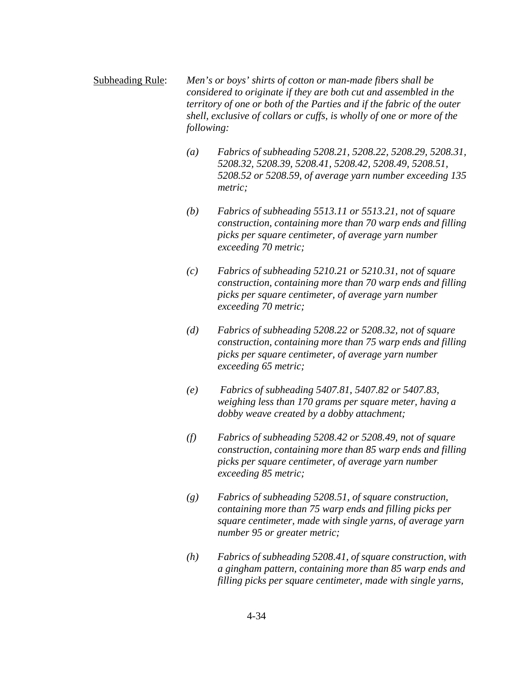Subheading Rule: *Men's or boys' shirts of cotton or man-made fibers shall be considered to originate if they are both cut and assembled in the territory of one or both of the Parties and if the fabric of the outer shell, exclusive of collars or cuffs, is wholly of one or more of the following:*

- *(a) Fabrics of subheading 5208.21, 5208.22, 5208.29, 5208.31, 5208.32, 5208.39, 5208.41, 5208.42, 5208.49, 5208.51, 5208.52 or 5208.59, of average yarn number exceeding 135 metric;*
- *(b) Fabrics of subheading 5513.11 or 5513.21, not of square construction, containing more than 70 warp ends and filling picks per square centimeter, of average yarn number exceeding 70 metric;*
- *(c) Fabrics of subheading 5210.21 or 5210.31, not of square construction, containing more than 70 warp ends and filling picks per square centimeter, of average yarn number exceeding 70 metric;*
- *(d) Fabrics of subheading 5208.22 or 5208.32, not of square construction, containing more than 75 warp ends and filling picks per square centimeter, of average yarn number exceeding 65 metric;*
- *(e) Fabrics of subheading 5407.81, 5407.82 or 5407.83, weighing less than 170 grams per square meter, having a dobby weave created by a dobby attachment;*
- *(f) Fabrics of subheading 5208.42 or 5208.49, not of square construction, containing more than 85 warp ends and filling picks per square centimeter, of average yarn number exceeding 85 metric;*
- *(g) Fabrics of subheading 5208.51, of square construction, containing more than 75 warp ends and filling picks per square centimeter, made with single yarns, of average yarn number 95 or greater metric;*
- *(h) Fabrics of subheading 5208.41, of square construction, with a gingham pattern, containing more than 85 warp ends and filling picks per square centimeter, made with single yarns,*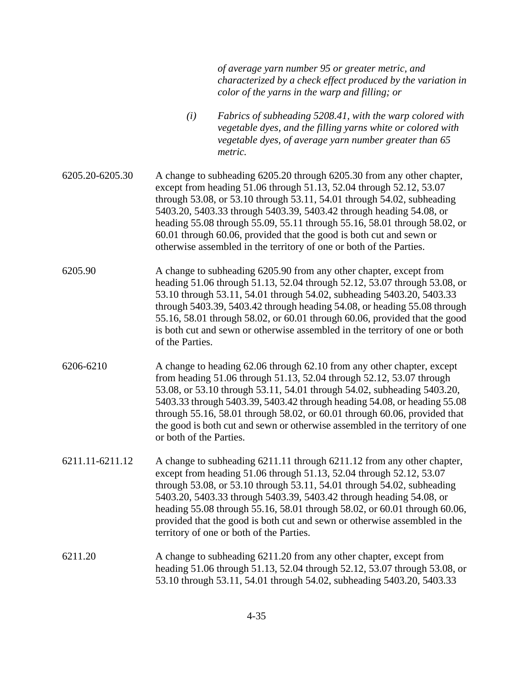|                 |                         | of average yarn number 95 or greater metric, and<br>characterized by a check effect produced by the variation in<br>color of the yarns in the warp and filling; or                                                                                                                                                                                                                                                                                                                                                        |
|-----------------|-------------------------|---------------------------------------------------------------------------------------------------------------------------------------------------------------------------------------------------------------------------------------------------------------------------------------------------------------------------------------------------------------------------------------------------------------------------------------------------------------------------------------------------------------------------|
|                 | (i)                     | Fabrics of subheading 5208.41, with the warp colored with<br>vegetable dyes, and the filling yarns white or colored with<br>vegetable dyes, of average yarn number greater than 65<br>metric.                                                                                                                                                                                                                                                                                                                             |
| 6205.20-6205.30 |                         | A change to subheading 6205.20 through 6205.30 from any other chapter,<br>except from heading 51.06 through 51.13, 52.04 through 52.12, 53.07<br>through 53.08, or 53.10 through 53.11, 54.01 through 54.02, subheading<br>5403.20, 5403.33 through 5403.39, 5403.42 through heading 54.08, or<br>heading 55.08 through 55.09, 55.11 through 55.16, 58.01 through 58.02, or<br>60.01 through 60.06, provided that the good is both cut and sewn or<br>otherwise assembled in the territory of one or both of the Parties. |
| 6205.90         | of the Parties.         | A change to subheading 6205.90 from any other chapter, except from<br>heading 51.06 through 51.13, 52.04 through 52.12, 53.07 through 53.08, or<br>53.10 through 53.11, 54.01 through 54.02, subheading 5403.20, 5403.33<br>through 5403.39, 5403.42 through heading 54.08, or heading 55.08 through<br>55.16, 58.01 through 58.02, or 60.01 through 60.06, provided that the good<br>is both cut and sewn or otherwise assembled in the territory of one or both                                                         |
| 6206-6210       | or both of the Parties. | A change to heading 62.06 through 62.10 from any other chapter, except<br>from heading 51.06 through 51.13, 52.04 through 52.12, 53.07 through<br>53.08, or 53.10 through 53.11, 54.01 through 54.02, subheading 5403.20,<br>5403.33 through 5403.39, 5403.42 through heading 54.08, or heading 55.08<br>through 55.16, 58.01 through 58.02, or 60.01 through 60.06, provided that<br>the good is both cut and sewn or otherwise assembled in the territory of one                                                        |
| 6211.11-6211.12 |                         | A change to subheading 6211.11 through 6211.12 from any other chapter,<br>except from heading 51.06 through 51.13, 52.04 through 52.12, 53.07<br>through 53.08, or 53.10 through 53.11, 54.01 through 54.02, subheading<br>5403.20, 5403.33 through 5403.39, 5403.42 through heading 54.08, or<br>heading 55.08 through 55.16, 58.01 through 58.02, or 60.01 through 60.06,<br>provided that the good is both cut and sewn or otherwise assembled in the<br>territory of one or both of the Parties.                      |
| 6211.20         |                         | A change to subheading 6211.20 from any other chapter, except from<br>heading 51.06 through 51.13, 52.04 through 52.12, 53.07 through 53.08, or<br>53.10 through 53.11, 54.01 through 54.02, subheading 5403.20, 5403.33                                                                                                                                                                                                                                                                                                  |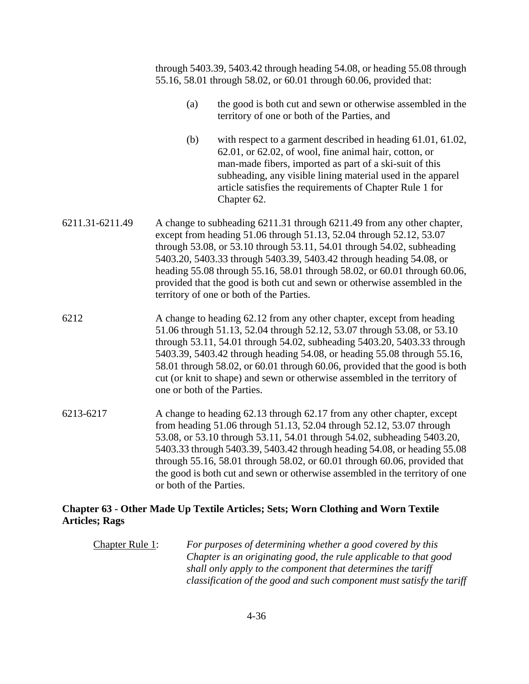through 5403.39, 5403.42 through heading 54.08, or heading 55.08 through 55.16, 58.01 through 58.02, or 60.01 through 60.06, provided that:

- (a) the good is both cut and sewn or otherwise assembled in the territory of one or both of the Parties, and
- (b) with respect to a garment described in heading 61.01, 61.02, 62.01, or 62.02, of wool, fine animal hair, cotton, or man-made fibers, imported as part of a ski-suit of this subheading, any visible lining material used in the apparel article satisfies the requirements of Chapter Rule 1 for Chapter 62.
- 6211.31-6211.49 A change to subheading 6211.31 through 6211.49 from any other chapter, except from heading 51.06 through 51.13, 52.04 through 52.12, 53.07 through 53.08, or 53.10 through 53.11, 54.01 through 54.02, subheading 5403.20, 5403.33 through 5403.39, 5403.42 through heading 54.08, or heading 55.08 through 55.16, 58.01 through 58.02, or 60.01 through 60.06, provided that the good is both cut and sewn or otherwise assembled in the territory of one or both of the Parties.
- 6212 A change to heading 62.12 from any other chapter, except from heading 51.06 through 51.13, 52.04 through 52.12, 53.07 through 53.08, or 53.10 through 53.11, 54.01 through 54.02, subheading 5403.20, 5403.33 through 5403.39, 5403.42 through heading 54.08, or heading 55.08 through 55.16, 58.01 through 58.02, or 60.01 through 60.06, provided that the good is both cut (or knit to shape) and sewn or otherwise assembled in the territory of one or both of the Parties.
- 6213-6217 A change to heading 62.13 through 62.17 from any other chapter, except from heading 51.06 through 51.13, 52.04 through 52.12, 53.07 through 53.08, or 53.10 through 53.11, 54.01 through 54.02, subheading 5403.20, 5403.33 through 5403.39, 5403.42 through heading 54.08, or heading 55.08 through 55.16, 58.01 through 58.02, or 60.01 through 60.06, provided that the good is both cut and sewn or otherwise assembled in the territory of one or both of the Parties.

## **Chapter 63 - Other Made Up Textile Articles; Sets; Worn Clothing and Worn Textile Articles; Rags**

Chapter Rule 1: *For purposes of determining whether a good covered by this Chapter is an originating good, the rule applicable to that good shall only apply to the component that determines the tariff classification of the good and such component must satisfy the tariff*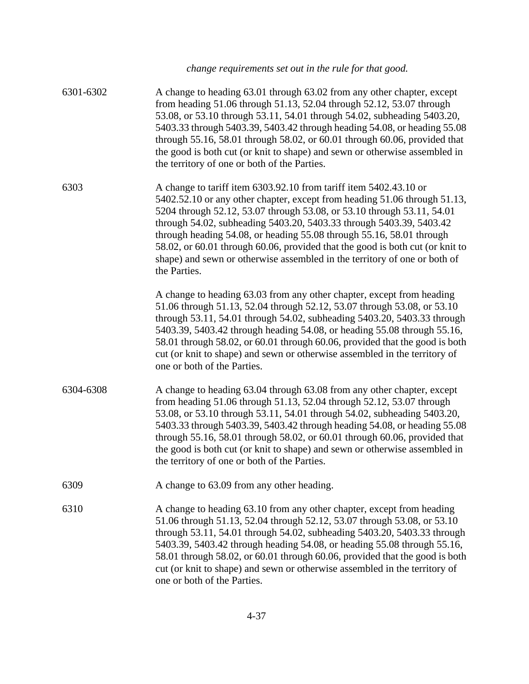|           | change requirements set out in the rule for that good.                                                                                                                                                                                                                                                                                                                                                                                                                                                                                                |
|-----------|-------------------------------------------------------------------------------------------------------------------------------------------------------------------------------------------------------------------------------------------------------------------------------------------------------------------------------------------------------------------------------------------------------------------------------------------------------------------------------------------------------------------------------------------------------|
| 6301-6302 | A change to heading 63.01 through 63.02 from any other chapter, except<br>from heading 51.06 through 51.13, 52.04 through 52.12, 53.07 through<br>53.08, or 53.10 through 53.11, 54.01 through 54.02, subheading 5403.20,<br>5403.33 through 5403.39, 5403.42 through heading 54.08, or heading 55.08<br>through 55.16, 58.01 through 58.02, or 60.01 through 60.06, provided that<br>the good is both cut (or knit to shape) and sewn or otherwise assembled in<br>the territory of one or both of the Parties.                                      |
| 6303      | A change to tariff item 6303.92.10 from tariff item 5402.43.10 or<br>5402.52.10 or any other chapter, except from heading 51.06 through 51.13,<br>5204 through 52.12, 53.07 through 53.08, or 53.10 through 53.11, 54.01<br>through 54.02, subheading 5403.20, 5403.33 through 5403.39, 5403.42<br>through heading 54.08, or heading 55.08 through 55.16, 58.01 through<br>58.02, or 60.01 through 60.06, provided that the good is both cut (or knit to<br>shape) and sewn or otherwise assembled in the territory of one or both of<br>the Parties. |
|           | A change to heading 63.03 from any other chapter, except from heading<br>51.06 through 51.13, 52.04 through 52.12, 53.07 through 53.08, or 53.10<br>through 53.11, 54.01 through 54.02, subheading 5403.20, 5403.33 through<br>5403.39, 5403.42 through heading 54.08, or heading 55.08 through 55.16,<br>58.01 through 58.02, or 60.01 through 60.06, provided that the good is both<br>cut (or knit to shape) and sewn or otherwise assembled in the territory of<br>one or both of the Parties.                                                    |
| 6304-6308 | A change to heading 63.04 through 63.08 from any other chapter, except<br>from heading 51.06 through 51.13, 52.04 through 52.12, 53.07 through<br>53.08, or 53.10 through 53.11, 54.01 through 54.02, subheading 5403.20,<br>5403.33 through 5403.39, 5403.42 through heading 54.08, or heading 55.08<br>through 55.16, 58.01 through 58.02, or 60.01 through 60.06, provided that<br>the good is both cut (or knit to shape) and sewn or otherwise assembled in<br>the territory of one or both of the Parties.                                      |
| 6309      | A change to 63.09 from any other heading.                                                                                                                                                                                                                                                                                                                                                                                                                                                                                                             |
| 6310      | A change to heading 63.10 from any other chapter, except from heading<br>51.06 through 51.13, 52.04 through 52.12, 53.07 through 53.08, or 53.10<br>through 53.11, 54.01 through 54.02, subheading 5403.20, 5403.33 through<br>5403.39, 5403.42 through heading 54.08, or heading 55.08 through 55.16,<br>58.01 through 58.02, or 60.01 through 60.06, provided that the good is both<br>cut (or knit to shape) and sewn or otherwise assembled in the territory of<br>one or both of the Parties.                                                    |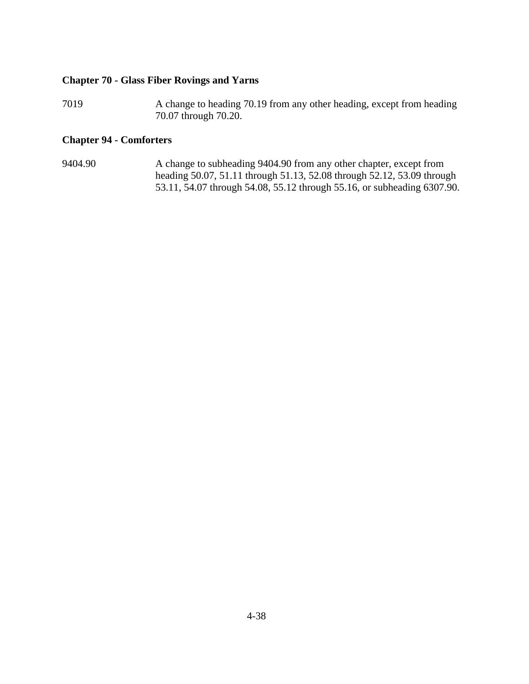## **Chapter 70 - Glass Fiber Rovings and Yarns**

7019 A change to heading 70.19 from any other heading, except from heading 70.07 through 70.20.

# **Chapter 94 - Comforters**

9404.90 A change to subheading 9404.90 from any other chapter, except from heading 50.07, 51.11 through 51.13, 52.08 through 52.12, 53.09 through 53.11, 54.07 through 54.08, 55.12 through 55.16, or subheading 6307.90.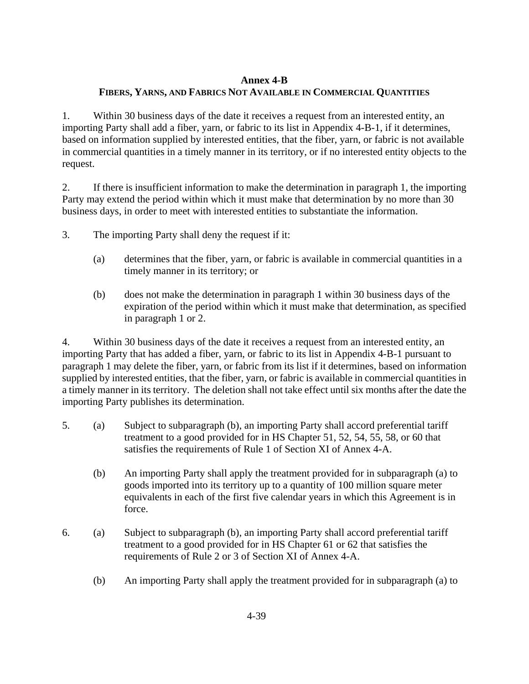## **Annex 4-B**

# **FIBERS, YARNS, AND FABRICS NOT AVAILABLE IN COMMERCIAL QUANTITIES**

1. Within 30 business days of the date it receives a request from an interested entity, an importing Party shall add a fiber, yarn, or fabric to its list in Appendix 4-B-1, if it determines, based on information supplied by interested entities, that the fiber, yarn, or fabric is not available in commercial quantities in a timely manner in its territory, or if no interested entity objects to the request.

2. If there is insufficient information to make the determination in paragraph 1, the importing Party may extend the period within which it must make that determination by no more than 30 business days, in order to meet with interested entities to substantiate the information.

- 3. The importing Party shall deny the request if it:
	- (a) determines that the fiber, yarn, or fabric is available in commercial quantities in a timely manner in its territory; or
	- (b) does not make the determination in paragraph 1 within 30 business days of the expiration of the period within which it must make that determination, as specified in paragraph 1 or 2.

4. Within 30 business days of the date it receives a request from an interested entity, an importing Party that has added a fiber, yarn, or fabric to its list in Appendix 4-B-1 pursuant to paragraph 1 may delete the fiber, yarn, or fabric from its list if it determines, based on information supplied by interested entities, that the fiber, yarn, or fabric is available in commercial quantities in a timely manner in its territory. The deletion shall not take effect until six months after the date the importing Party publishes its determination.

- 5. (a) Subject to subparagraph (b), an importing Party shall accord preferential tariff treatment to a good provided for in HS Chapter 51, 52, 54, 55, 58, or 60 that satisfies the requirements of Rule 1 of Section XI of Annex 4-A.
	- (b) An importing Party shall apply the treatment provided for in subparagraph (a) to goods imported into its territory up to a quantity of 100 million square meter equivalents in each of the first five calendar years in which this Agreement is in force.
- 6. (a) Subject to subparagraph (b), an importing Party shall accord preferential tariff treatment to a good provided for in HS Chapter 61 or 62 that satisfies the requirements of Rule 2 or 3 of Section XI of Annex 4-A.
	- (b) An importing Party shall apply the treatment provided for in subparagraph (a) to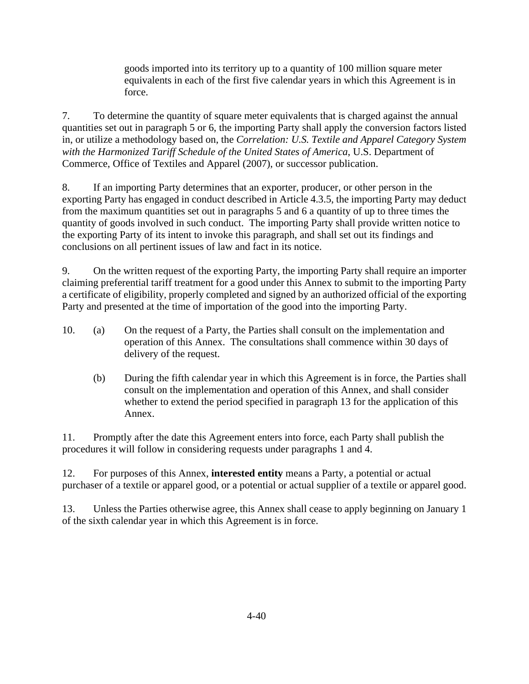goods imported into its territory up to a quantity of 100 million square meter equivalents in each of the first five calendar years in which this Agreement is in force.

7. To determine the quantity of square meter equivalents that is charged against the annual quantities set out in paragraph 5 or 6, the importing Party shall apply the conversion factors listed in, or utilize a methodology based on, the *Correlation: U.S. Textile and Apparel Category System with the Harmonized Tariff Schedule of the United States of America*, U.S. Department of Commerce, Office of Textiles and Apparel (2007), or successor publication.

8. If an importing Party determines that an exporter, producer, or other person in the exporting Party has engaged in conduct described in Article 4.3.5, the importing Party may deduct from the maximum quantities set out in paragraphs 5 and 6 a quantity of up to three times the quantity of goods involved in such conduct. The importing Party shall provide written notice to the exporting Party of its intent to invoke this paragraph, and shall set out its findings and conclusions on all pertinent issues of law and fact in its notice.

9. On the written request of the exporting Party, the importing Party shall require an importer claiming preferential tariff treatment for a good under this Annex to submit to the importing Party a certificate of eligibility, properly completed and signed by an authorized official of the exporting Party and presented at the time of importation of the good into the importing Party.

- 10. (a) On the request of a Party, the Parties shall consult on the implementation and operation of this Annex. The consultations shall commence within 30 days of delivery of the request.
	- (b) During the fifth calendar year in which this Agreement is in force, the Parties shall consult on the implementation and operation of this Annex, and shall consider whether to extend the period specified in paragraph 13 for the application of this Annex.

11. Promptly after the date this Agreement enters into force, each Party shall publish the procedures it will follow in considering requests under paragraphs 1 and 4.

12. For purposes of this Annex, **interested entity** means a Party, a potential or actual purchaser of a textile or apparel good, or a potential or actual supplier of a textile or apparel good.

13. Unless the Parties otherwise agree, this Annex shall cease to apply beginning on January 1 of the sixth calendar year in which this Agreement is in force.